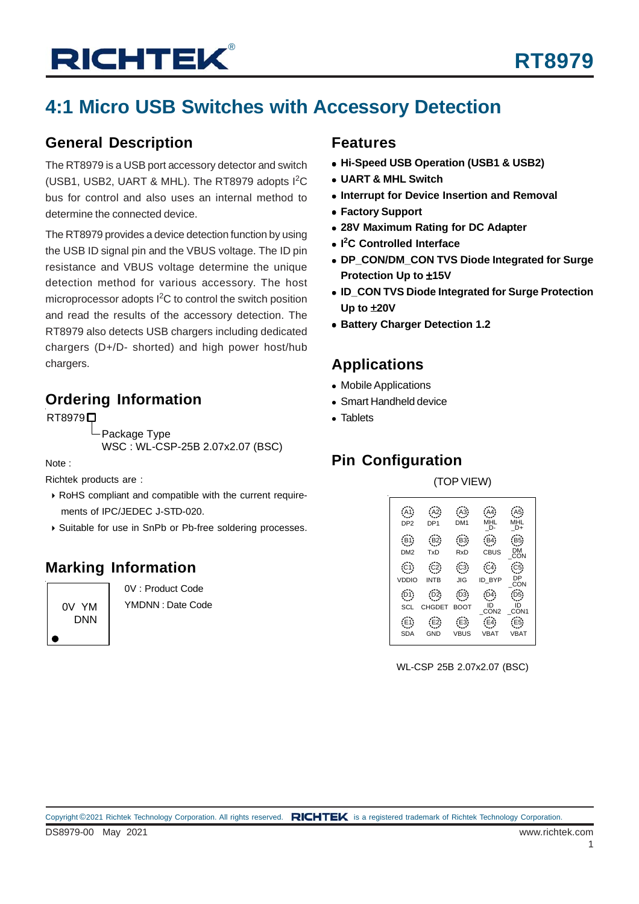# **RICHTEK®**

## **4:1 Micro USB Switches with Accessory Detection**

### **General Description**

The RT8979 is a USB port accessory detector and switch (USB1, USB2, UART & MHL). The RT8979 adopts I<sup>2</sup>C bus for control and also uses an internal method to determine the connected device.

The RT8979 provides a device detection function by using the USB ID signal pin and the VBUS voltage. The ID pin resistance and VBUS voltage determine the unique detection method for various accessory. The host microprocessor adopts  $I^2C$  to control the switch position and read the results of the accessory detection. The RT8979 also detects USB chargers including dedicated chargers (D+/D- shorted) and high power host/hub chargers.

### **Ordering Information**

#### **RT8979**□

Package Type

WSC : WL-CSP-25B 2.07x2.07 (BSC)

Note :

Richtek products are :

- RoHS compliant and compatible with the current require ments of IPC/JEDEC J-STD-020.
- Suitable for use in SnPb or Pb-free soldering processes.

### **Marking Information**

0V YM DNN

0V : Product Code YMDNN : Date Code

#### **Features**

- **Hi-Speed USB Operation (USB1 & USB2)**
- **UART & MHL Switch**
- **Interrupt for Device Insertion and Removal**
- **Factory Support**
- **28V Maximum Rating for DC Adapter**
- **I 2 C Controlled Interface**
- **DP\_CON/DM\_CON TVS Diode Integrated for Surge Protection Up to** ±**15V**
- **ID\_CON TVS Diode Integrated for Surge Protection Up to** ±**20V**
- **Battery Charger Detection 1.2**

### **Applications**

- Mobile Applications
- Smart Handheld device
- Tablets

### **Pin Configuration**

(TOP VIEW)



WL-CSP 25B 2.07x2.07 (BSC)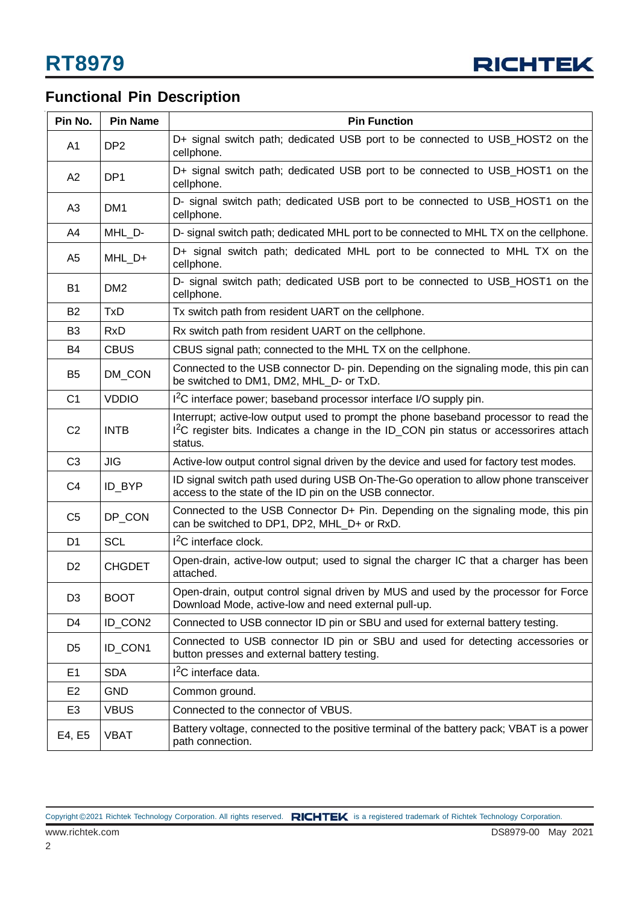

## **Functional Pin Description**

| Pin No.        | <b>Pin Name</b> | <b>Pin Function</b>                                                                                                                                                                                   |
|----------------|-----------------|-------------------------------------------------------------------------------------------------------------------------------------------------------------------------------------------------------|
| A1             | DP <sub>2</sub> | D+ signal switch path; dedicated USB port to be connected to USB_HOST2 on the<br>cellphone.                                                                                                           |
| A2             | DP <sub>1</sub> | D+ signal switch path; dedicated USB port to be connected to USB_HOST1 on the<br>cellphone.                                                                                                           |
| A3             | DM <sub>1</sub> | D- signal switch path; dedicated USB port to be connected to USB_HOST1 on the<br>cellphone.                                                                                                           |
| A4             | MHL D-          | D- signal switch path; dedicated MHL port to be connected to MHL TX on the cellphone.                                                                                                                 |
| A5             | MHL_D+          | D+ signal switch path; dedicated MHL port to be connected to MHL TX on the<br>cellphone.                                                                                                              |
| B1             | DM <sub>2</sub> | D- signal switch path; dedicated USB port to be connected to USB_HOST1 on the<br>cellphone.                                                                                                           |
| <b>B2</b>      | <b>TxD</b>      | Tx switch path from resident UART on the cellphone.                                                                                                                                                   |
| B <sub>3</sub> | <b>RxD</b>      | Rx switch path from resident UART on the cellphone.                                                                                                                                                   |
| B4             | <b>CBUS</b>     | CBUS signal path; connected to the MHL TX on the cellphone.                                                                                                                                           |
| B <sub>5</sub> | DM_CON          | Connected to the USB connector D- pin. Depending on the signaling mode, this pin can<br>be switched to DM1, DM2, MHL D- or TxD.                                                                       |
| C <sub>1</sub> | <b>VDDIO</b>    | I <sup>2</sup> C interface power; baseband processor interface I/O supply pin.                                                                                                                        |
| C <sub>2</sub> | <b>INTB</b>     | Interrupt; active-low output used to prompt the phone baseband processor to read the<br>I <sup>2</sup> C register bits. Indicates a change in the ID_CON pin status or accessorires attach<br>status. |
| C <sub>3</sub> | <b>JIG</b>      | Active-low output control signal driven by the device and used for factory test modes.                                                                                                                |
| C <sub>4</sub> | ID_BYP          | ID signal switch path used during USB On-The-Go operation to allow phone transceiver<br>access to the state of the ID pin on the USB connector.                                                       |
| C <sub>5</sub> | DP_CON          | Connected to the USB Connector D+ Pin. Depending on the signaling mode, this pin<br>can be switched to DP1, DP2, MHL_D+ or RxD.                                                                       |
| D <sub>1</sub> | <b>SCL</b>      | $I2C$ interface clock.                                                                                                                                                                                |
| D <sub>2</sub> | <b>CHGDET</b>   | Open-drain, active-low output; used to signal the charger IC that a charger has been<br>attached.                                                                                                     |
| D <sub>3</sub> | <b>BOOT</b>     | Open-drain, output control signal driven by MUS and used by the processor for Force<br>Download Mode, active-low and need external pull-up.                                                           |
| D4             | ID_CON2         | Connected to USB connector ID pin or SBU and used for external battery testing.                                                                                                                       |
| D <sub>5</sub> | ID_CON1         | Connected to USB connector ID pin or SBU and used for detecting accessories or<br>button presses and external battery testing.                                                                        |
| E1             | <b>SDA</b>      | $I2C$ interface data.                                                                                                                                                                                 |
| E <sub>2</sub> | <b>GND</b>      | Common ground.                                                                                                                                                                                        |
| E <sub>3</sub> | <b>VBUS</b>     | Connected to the connector of VBUS.                                                                                                                                                                   |
| E4, E5         | <b>VBAT</b>     | Battery voltage, connected to the positive terminal of the battery pack; VBAT is a power<br>path connection.                                                                                          |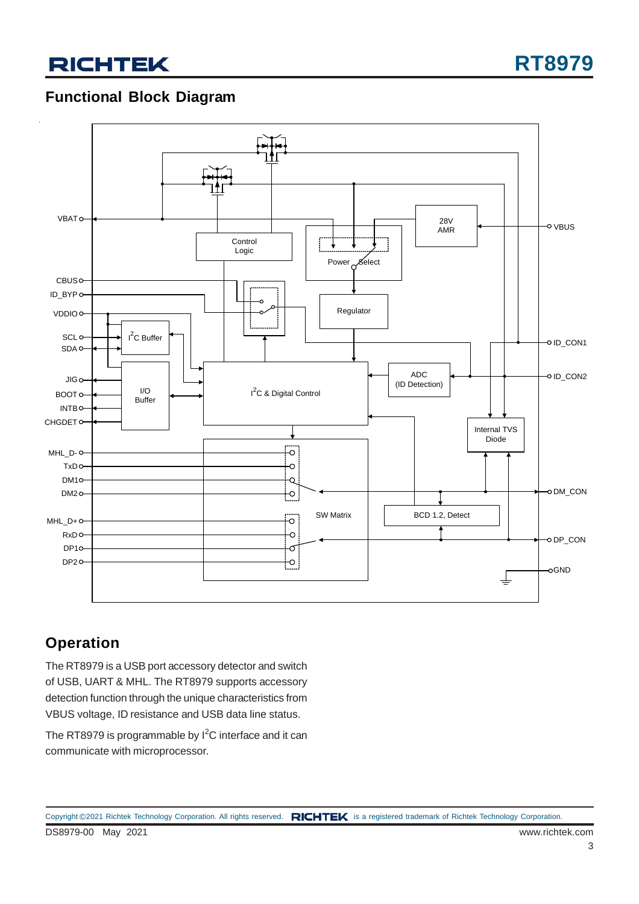## **RICHTEK**

**RT8979**

### **Functional Block Diagram**



### **Operation**

The RT8979 is a USB port accessory detector and switch of USB, UART & MHL. The RT8979 supports accessory detection function through the unique characteristics from VBUS voltage, ID resistance and USB data line status.

The RT8979 is programmable by  $I^2C$  interface and it can communicate with microprocessor.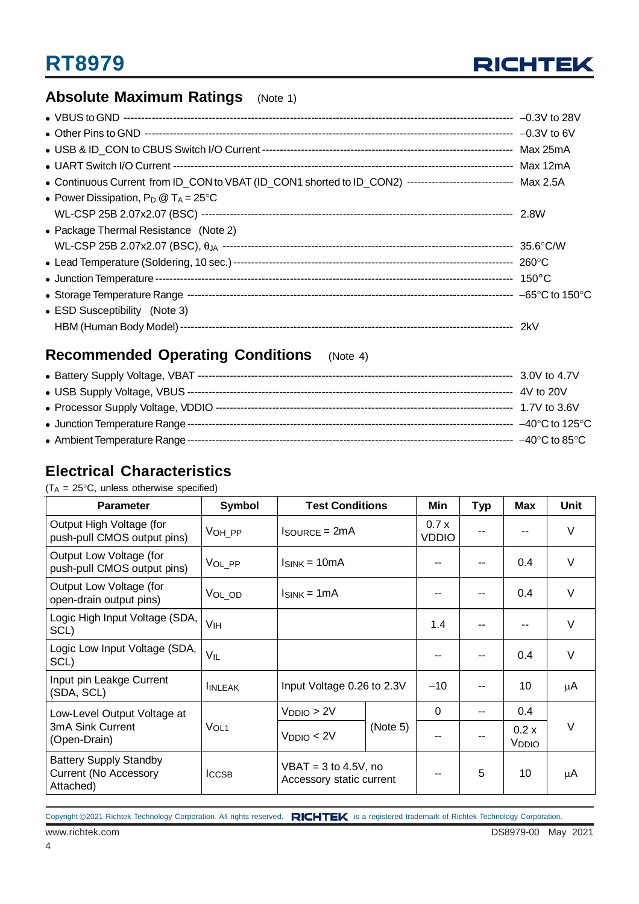

### **Absolute Maximum Ratings** (Note 1)

| • Continuous Current from ID_CON to VBAT (ID_CON1 shorted to ID_CON2) ----------------------------- Max 2.5A |  |
|--------------------------------------------------------------------------------------------------------------|--|
| • Power Dissipation, $P_D @ T_A = 25^{\circ}C$                                                               |  |
|                                                                                                              |  |
| • Package Thermal Resistance (Note 2)                                                                        |  |
|                                                                                                              |  |
|                                                                                                              |  |
|                                                                                                              |  |
|                                                                                                              |  |
| • ESD Susceptibility (Note 3)                                                                                |  |
|                                                                                                              |  |

### **Recommended Operating Conditions** (Note 4)

### **Electrical Characteristics**

 $(T_A = 25^{\circ}C$ , unless otherwise specified)

| <b>Parameter</b>                                                           | Symbol           | <b>Test Conditions</b>                             |  | Min                  | <b>Typ</b> | <b>Max</b>                 | Unit   |
|----------------------------------------------------------------------------|------------------|----------------------------------------------------|--|----------------------|------------|----------------------------|--------|
| Output High Voltage (for<br>push-pull CMOS output pins)                    | VOH PP           | $IsouRCE = 2mA$                                    |  | 0.7x<br><b>VDDIO</b> |            |                            | $\vee$ |
| Output Low Voltage (for<br>push-pull CMOS output pins)                     | VOL_PP           | $I_{SINK} = 10mA$                                  |  |                      |            | 0.4                        | $\vee$ |
| Output Low Voltage (for<br>open-drain output pins)                         | VOL_OD           | $I_{SINK} = 1mA$                                   |  | --                   |            | 0.4                        | $\vee$ |
| Logic High Input Voltage (SDA,<br>SCL)                                     | V <sub>IH</sub>  |                                                    |  | 1.4                  |            |                            | $\vee$ |
| Logic Low Input Voltage (SDA,<br>SCL)                                      | V <sub>IL</sub>  |                                                    |  |                      |            | 0.4                        | $\vee$ |
| Input pin Leakge Current<br>(SDA, SCL)                                     | <b>IINLEAK</b>   | Input Voltage 0.26 to 2.3V                         |  | $-10$                |            | 10                         | μA     |
| Low-Level Output Voltage at                                                |                  | V <sub>DDIO</sub> > 2V                             |  | 0                    |            | $0.4^{\circ}$              |        |
| 3mA Sink Current<br>(Open-Drain)                                           | VOL <sub>1</sub> | (Note 5)<br>V <sub>DDIO</sub> < 2V                 |  |                      |            | 0.2 x<br>V <sub>DDIO</sub> | $\vee$ |
| <b>Battery Supply Standby</b><br><b>Current (No Accessory</b><br>Attached) | <b>ICCSB</b>     | $VBAT = 3$ to 4.5V, no<br>Accessory static current |  |                      | 5          | 10                         | μA     |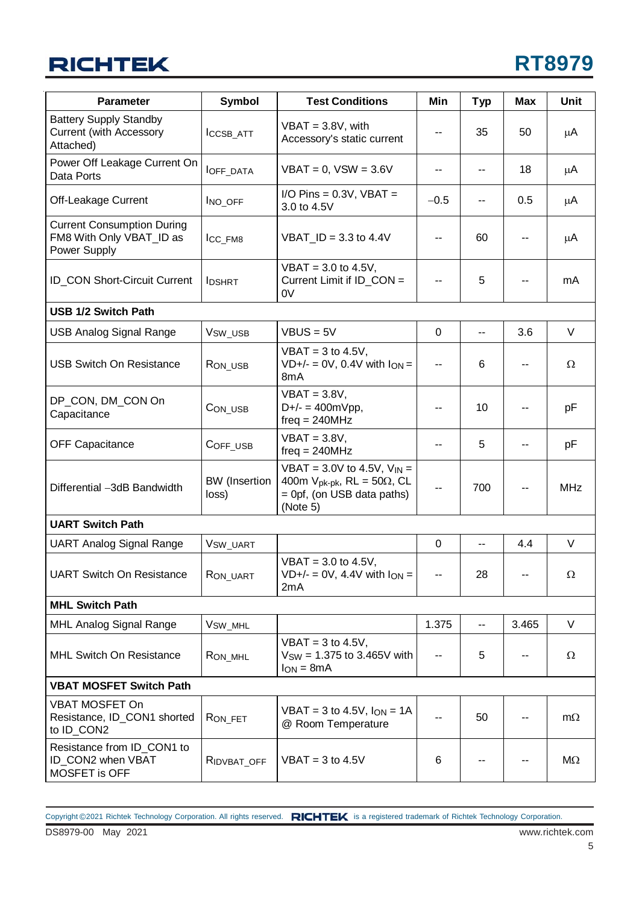## **RICHTEK**

| <b>Parameter</b>                                                              | Symbol                        | <b>Test Conditions</b>                                                                                                    | Min                      | <b>Typ</b> | Max   | Unit       |
|-------------------------------------------------------------------------------|-------------------------------|---------------------------------------------------------------------------------------------------------------------------|--------------------------|------------|-------|------------|
| <b>Battery Supply Standby</b><br><b>Current (with Accessory</b><br>Attached)  | ICCSB_ATT                     | $VBAT = 3.8V$ , with<br>Accessory's static current                                                                        | ۰.                       | 35         | 50    | μA         |
| Power Off Leakage Current On<br>Data Ports                                    | <b>IOFF_DATA</b>              | $VBAT = 0$ , $VSW = 3.6V$                                                                                                 | ۰.                       | ۰.         | 18    | μA         |
| Off-Leakage Current                                                           | INO_OFF                       | I/O Pins = $0.3V$ , VBAT =<br>3.0 to 4.5V                                                                                 | $-0.5$                   |            | 0.5   | μA         |
| <b>Current Consumption During</b><br>FM8 With Only VBAT_ID as<br>Power Supply | ICC_FM8                       | $VBAT$ _ID = 3.3 to 4.4V                                                                                                  | --                       | 60         |       | μA         |
| <b>ID_CON Short-Circuit Current</b>                                           | <b>IDSHRT</b>                 | $VBAT = 3.0$ to 4.5V,<br>Current Limit if ID_CON =<br>0V                                                                  | --                       | 5          |       | mA         |
| <b>USB 1/2 Switch Path</b>                                                    |                               |                                                                                                                           |                          |            |       |            |
| <b>USB Analog Signal Range</b>                                                | V <sub>SW_USB</sub>           | $VBUS = 5V$                                                                                                               | $\Omega$                 | ۰.         | 3.6   | V          |
| <b>USB Switch On Resistance</b>                                               | RON_USB                       | $VBAT = 3$ to 4.5V,<br>$VD+/- = OV, 0.4V$ with $I_{ON} =$<br>8 <sub>m</sub> A                                             | н.                       | 6          |       | $\Omega$   |
| DP_CON, DM_CON On<br>Capacitance                                              | CON_USB                       | $VBAT = 3.8V,$<br>$D+/- = 400mVpp,$<br>$freq = 240MHz$                                                                    | --                       | 10         |       | рF         |
| <b>OFF Capacitance</b>                                                        | COFF_USB                      | $VBAT = 3.8V,$<br>$freq = 240MHz$                                                                                         | --                       | 5          |       | рF         |
| Differential -3dB Bandwidth                                                   | <b>BW</b> (Insertion<br>loss) | VBAT = $3.0V$ to 4.5V, $V_{IN}$ =<br>400m $V_{pk-pk}$ , RL = 50 $\Omega$ , CL<br>$=$ 0pf, (on USB data paths)<br>(Note 5) | --                       | 700        |       | <b>MHz</b> |
| <b>UART Switch Path</b>                                                       |                               |                                                                                                                           |                          |            |       |            |
| <b>UART Analog Signal Range</b>                                               | V <sub>SW_UART</sub>          |                                                                                                                           | $\Omega$                 | --         | 4.4   | $\vee$     |
| <b>UART Switch On Resistance</b>                                              | RON_UART                      | $VBAT = 3.0$ to 4.5V,<br>$VD+/- = OV, 4.4V$ with $I_{ON} =$<br>2mA                                                        |                          | 28         |       | Ω          |
| <b>MHL Switch Path</b>                                                        |                               |                                                                                                                           |                          |            |       |            |
| MHL Analog Signal Range                                                       | V <sub>SW_MHL</sub>           |                                                                                                                           | 1.375                    | --         | 3.465 | V          |
| <b>MHL Switch On Resistance</b>                                               | RON_MHL                       |                                                                                                                           | $\overline{\phantom{a}}$ | 5          |       | Ω          |
| <b>VBAT MOSFET Switch Path</b>                                                |                               |                                                                                                                           |                          |            |       |            |
| VBAT MOSFET On<br>Resistance, ID_CON1 shorted<br>to ID_CON2                   | RON_FET                       | $VBAT = 3$ to 4.5V, $Ion = 1A$<br>@ Room Temperature                                                                      | --                       | 50         |       | $m\Omega$  |
| Resistance from ID_CON1 to<br>ID_CON2 when VBAT<br>MOSFET is OFF              | RIDVBAT_OFF                   | $VBAT = 3$ to 4.5V                                                                                                        | 6                        | --         |       | $M\Omega$  |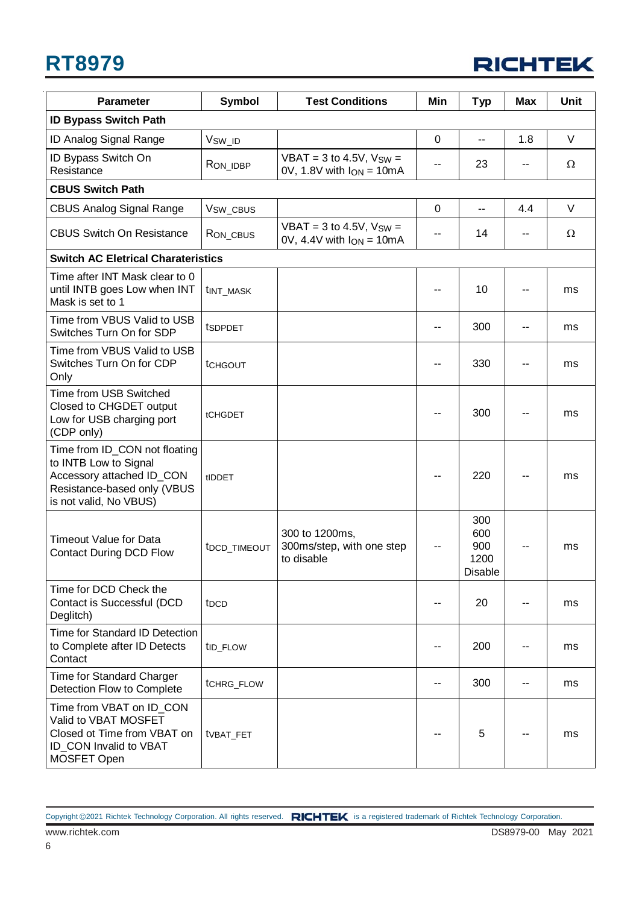

| <b>Parameter</b>                                                                                                                             | <b>Symbol</b>            | <b>Test Conditions</b>                                          | Min         | <b>Typ</b>                           | <b>Max</b> | Unit     |
|----------------------------------------------------------------------------------------------------------------------------------------------|--------------------------|-----------------------------------------------------------------|-------------|--------------------------------------|------------|----------|
| <b>ID Bypass Switch Path</b>                                                                                                                 |                          |                                                                 |             |                                      |            |          |
| ID Analog Signal Range                                                                                                                       | V <sub>SW_ID</sub>       |                                                                 | $\mathbf 0$ | $\overline{a}$                       | 1.8        | $\vee$   |
| ID Bypass Switch On<br>Resistance                                                                                                            | RON_IDBP                 | $VBAT = 3$ to 4.5V, $VSW =$<br>$0V$ , 1.8V with $I_{ON} = 10mA$ | --          | 23                                   |            | $\Omega$ |
| <b>CBUS Switch Path</b>                                                                                                                      |                          |                                                                 |             |                                      |            |          |
| <b>CBUS Analog Signal Range</b>                                                                                                              | V <sub>SW_CBUS</sub>     |                                                                 | 0           | $\overline{a}$                       | 4.4        | $\vee$   |
| <b>CBUS Switch On Resistance</b>                                                                                                             | RON_CBUS                 | $VBAT = 3$ to 4.5V, $V_{SW} =$<br>0V, 4.4V with $I_{ON} = 10mA$ | --          | 14                                   | --         | Ω        |
| <b>Switch AC Eletrical Charateristics</b>                                                                                                    |                          |                                                                 |             |                                      |            |          |
| Time after INT Mask clear to 0<br>until INTB goes Low when INT<br>Mask is set to 1                                                           | t <sub>INT_MASK</sub>    |                                                                 |             | 10                                   |            | ms       |
| Time from VBUS Valid to USB<br>Switches Turn On for SDP                                                                                      | tspppet                  |                                                                 | --          | 300                                  |            | ms       |
| Time from VBUS Valid to USB<br>Switches Turn On for CDP<br>Only                                                                              | <b>tCHGOUT</b>           |                                                                 | --          | 330                                  |            | ms       |
| Time from USB Switched<br>Closed to CHGDET output<br>Low for USB charging port<br>(CDP only)                                                 | tCHGDET                  |                                                                 |             | 300                                  |            | ms       |
| Time from ID_CON not floating<br>to INTB Low to Signal<br>Accessory attached ID_CON<br>Resistance-based only (VBUS<br>is not valid, No VBUS) | tIDDET                   |                                                                 |             | 220                                  |            | ms       |
| <b>Timeout Value for Data</b><br><b>Contact During DCD Flow</b>                                                                              | t <sub>DCD_TIMEOUT</sub> | 300 to 1200ms,<br>300ms/step, with one step<br>to disable       |             | 300<br>600<br>900<br>1200<br>Disable |            | ms       |
| Time for DCD Check the<br>Contact is Successful (DCD<br>Deglitch)                                                                            | t <sub>DCD</sub>         |                                                                 |             | 20                                   | --         | ms       |
| Time for Standard ID Detection<br>to Complete after ID Detects<br>Contact                                                                    | t <sub>ID_FLOW</sub>     |                                                                 | --          | 200                                  | --         | ms       |
| Time for Standard Charger<br>Detection Flow to Complete                                                                                      | tCHRG_FLOW               |                                                                 | --          | 300                                  | --         | ms       |
| Time from VBAT on ID_CON<br>Valid to VBAT MOSFET<br>Closed ot Time from VBAT on<br>ID_CON Invalid to VBAT<br>MOSFET Open                     | t <sub>VBAT_FET</sub>    |                                                                 | --          | 5                                    | --         | ms       |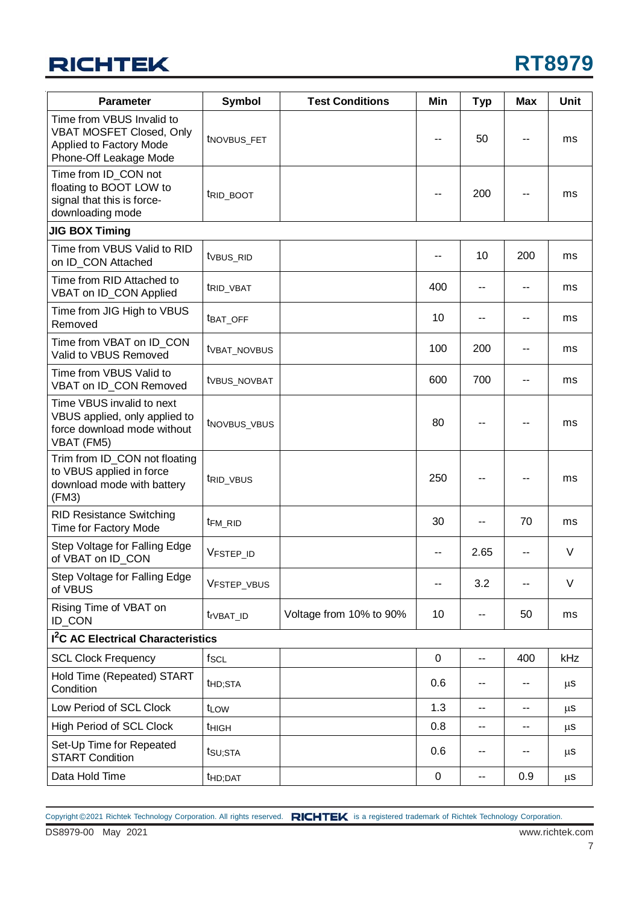## **RICHTEK**

| <b>Parameter</b>                                                                                                         | <b>Symbol</b>            | <b>Test Conditions</b>  | Min         | <b>Typ</b> | Max            | <b>Unit</b> |
|--------------------------------------------------------------------------------------------------------------------------|--------------------------|-------------------------|-------------|------------|----------------|-------------|
| Time from VBUS Invalid to<br><b>VBAT MOSFET Closed, Only</b><br><b>Applied to Factory Mode</b><br>Phone-Off Leakage Mode | tNOVBUS_FET              |                         |             | 50         |                | ms          |
| Time from ID_CON not<br>floating to BOOT LOW to<br>signal that this is force-<br>downloading mode                        | trid_boot                |                         |             | 200        |                | ms          |
| <b>JIG BOX Timing</b>                                                                                                    |                          |                         |             |            |                |             |
| Time from VBUS Valid to RID<br>on ID CON Attached                                                                        | t <sub>VBUS</sub> _RID   |                         |             | 10         | 200            | ms          |
| Time from RID Attached to<br>VBAT on ID_CON Applied                                                                      | t <sub>RID_VBAT</sub>    |                         | 400         | --         | --             | ms          |
| Time from JIG High to VBUS<br>Removed                                                                                    | tBAT_OFF                 |                         | 10          |            |                | ms          |
| Time from VBAT on ID_CON<br>Valid to VBUS Removed                                                                        | tvbat_novbus             |                         | 100         | 200        | --             | ms          |
| Time from VBUS Valid to<br>VBAT on ID_CON Removed                                                                        | tvBUS_NOVBAT             |                         | 600         | 700        | --             | ms          |
| Time VBUS invalid to next<br>VBUS applied, only applied to<br>force download mode without<br>VBAT (FM5)                  | t <sub>NOVBUS_VBUS</sub> |                         | 80          |            |                | ms          |
| Trim from ID_CON not floating<br>to VBUS applied in force<br>download mode with battery<br>(FM3)                         | t <sub>RID_VBUS</sub>    |                         | 250         |            |                | ms          |
| <b>RID Resistance Switching</b><br><b>Time for Factory Mode</b>                                                          | t <sub>FM_RID</sub>      |                         | 30          | --         | 70             | ms          |
| Step Voltage for Falling Edge<br>of VBAT on ID CON                                                                       | VFSTEP_ID                |                         | --          | 2.65       |                | V           |
| Step Voltage for Falling Edge<br>of VBUS                                                                                 | VFSTEP_VBUS              |                         |             | 3.2        |                | $\vee$      |
| Rising Time of VBAT on<br>ID_CON                                                                                         | t <sub>r</sub> VBAT_ID   | Voltage from 10% to 90% | 10          | --         | 50             | ms          |
| <b>1<sup>2</sup>C AC Electrical Characteristics</b>                                                                      |                          |                         |             |            |                |             |
| <b>SCL Clock Frequency</b>                                                                                               | fscl                     |                         | $\mathbf 0$ | --         | 400            | kHz         |
| Hold Time (Repeated) START<br>Condition                                                                                  | t <sub>HD;</sub> STA     |                         | 0.6         | --         | --             | $\mu$ s     |
| Low Period of SCL Clock                                                                                                  | t <sub>LOW</sub>         |                         | 1.3         | $-$        | $\overline{a}$ | $\mu$ S     |
| <b>High Period of SCL Clock</b>                                                                                          | <b>t</b> HIGH            |                         | 0.8         | --         | --             | μS          |
| Set-Up Time for Repeated<br><b>START Condition</b>                                                                       | tsu;sta                  |                         | 0.6         | --         | --             | $\mu$ S     |
| Data Hold Time                                                                                                           | t <sub>HD;DAT</sub>      |                         | $\pmb{0}$   | --         | 0.9            | $\mu$ s     |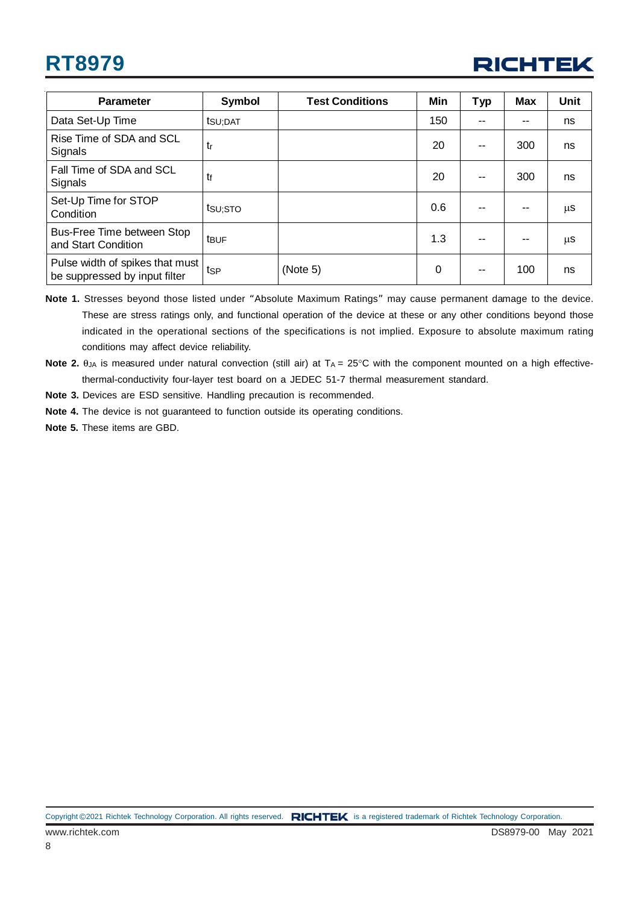

| <b>Parameter</b>                                                 | Symbol           | <b>Test Conditions</b> | Min | <b>Typ</b> | <b>Max</b> | Unit    |
|------------------------------------------------------------------|------------------|------------------------|-----|------------|------------|---------|
| Data Set-Up Time                                                 | tsu:DAT          |                        | 150 | --         |            | ns      |
| Rise Time of SDA and SCL<br>Signals                              | tr               |                        | 20  | $-$        | 300        | ns      |
| Fall Time of SDA and SCL<br>Signals                              | tf               |                        | 20  | $-$        | 300        | ns      |
| Set-Up Time for STOP<br>Condition                                | tsu;sto          |                        | 0.6 |            |            | $\mu$ S |
| Bus-Free Time between Stop<br>and Start Condition                | t <sub>BUF</sub> |                        | 1.3 | --         | --         | $\mu$ S |
| Pulse width of spikes that must<br>be suppressed by input filter | tsp              | (Note 5)               | 0   | $-$        | 100        | ns      |

**Note 1.** Stresses beyond those listed under "Absolute Maximum Ratings" may cause permanent damage to the device. These are stress ratings only, and functional operation of the device at these or any other conditions beyond those indicated in the operational sections of the specifications is not implied. Exposure to absolute maximum rating conditions may affect device reliability.

- Note 2.  $θ<sub>JA</sub>$  is measured under natural convection (still air) at T<sub>A</sub> = 25°C with the component mounted on a high effectivethermal-conductivity four-layer test board on a JEDEC 51-7 thermal measurement standard.
- **Note 3.** Devices are ESD sensitive. Handling precaution is recommended.
- **Note 4.** The device is not guaranteed to function outside its operating conditions.
- **Note 5.** These items are GBD.

Copyright ©2021 Richtek Technology Corporation. All rights reserved. RICHTEK is a registered trademark of Richtek Technology Corporation.

8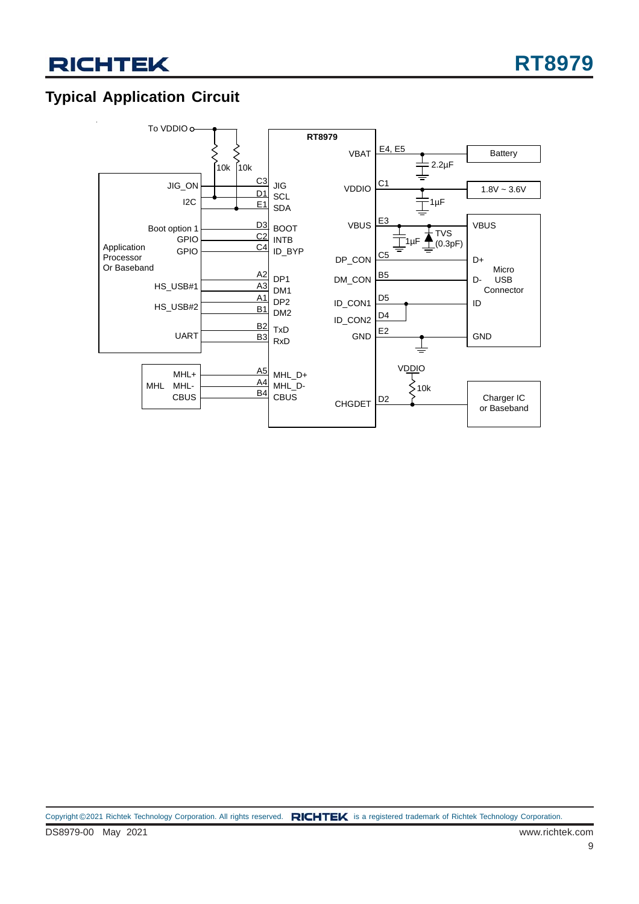### **Typical Application Circuit**

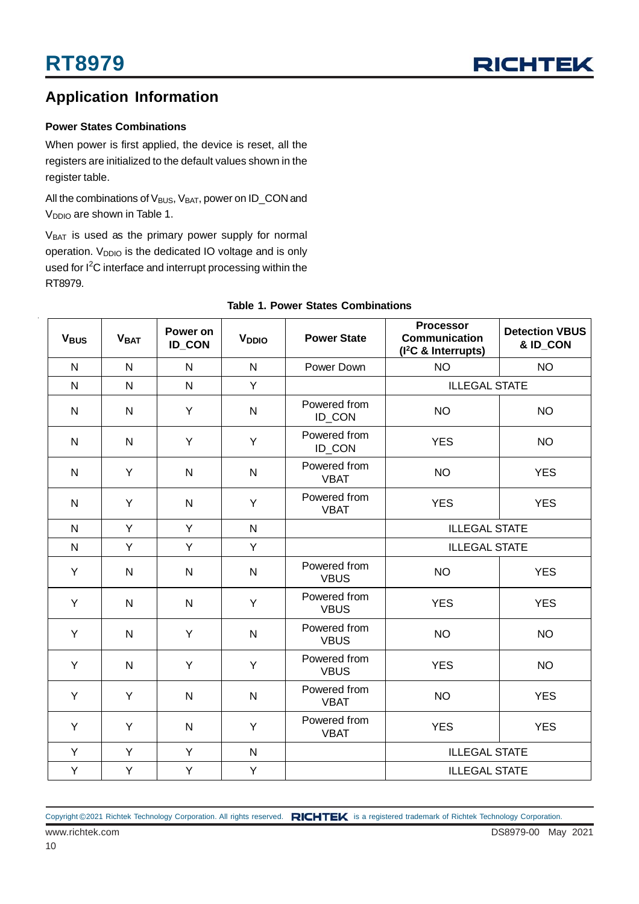

### **Application Information**

#### **Power States Combinations**

When power is first applied, the device is reset, all the registers are initialized to the default values shown in the register table.

All the combinations of V<sub>BUS</sub>, V<sub>BAT</sub>, power on ID\_CON and V<sub>DDIO</sub> are shown in Table 1.

V<sub>BAT</sub> is used as the primary power supply for normal operation. V<sub>DDIO</sub> is the dedicated IO voltage and is only used for I<sup>2</sup>C interface and interrupt processing within the RT8979.

| <b>V<sub>BUS</sub></b> | <b>VBAT</b>    | Power on<br><b>ID_CON</b> | V <sub>DDIO</sub> | <b>Power State</b>          | <b>Processor</b><br><b>Communication</b><br>(I <sup>2</sup> C & Interrupts) | <b>Detection VBUS</b><br>& ID_CON |  |
|------------------------|----------------|---------------------------|-------------------|-----------------------------|-----------------------------------------------------------------------------|-----------------------------------|--|
| N                      | $\overline{N}$ | $\mathsf{N}$              | $\mathsf{N}$      | Power Down                  | <b>NO</b>                                                                   | <b>NO</b>                         |  |
| $\mathsf{N}$           | $\overline{N}$ | $\mathsf{N}$              | Y                 |                             | <b>ILLEGAL STATE</b>                                                        |                                   |  |
| $\mathsf{N}$           | $\mathsf{N}$   | Y                         | $\mathsf{N}$      | Powered from<br>ID_CON      | <b>NO</b>                                                                   | <b>NO</b>                         |  |
| $\mathsf{N}$           | N              | Y                         | Y                 | Powered from<br>ID_CON      | <b>YES</b>                                                                  | <b>NO</b>                         |  |
| $\mathsf{N}$           | Y              | $\mathsf{N}$              | $\mathsf{N}$      | Powered from<br><b>VBAT</b> | <b>NO</b>                                                                   | <b>YES</b>                        |  |
| $\mathsf{N}$           | Y              | ${\sf N}$                 | Υ                 | Powered from<br><b>VBAT</b> | <b>YES</b>                                                                  | <b>YES</b>                        |  |
| N                      | Y              | Y                         | $\mathsf{N}$      |                             | <b>ILLEGAL STATE</b>                                                        |                                   |  |
| N                      | Y              | Y                         | Y                 |                             | <b>ILLEGAL STATE</b>                                                        |                                   |  |
| Y                      | $\mathsf{N}$   | N                         | $\mathsf{N}$      | Powered from<br><b>VBUS</b> | <b>NO</b>                                                                   | <b>YES</b>                        |  |
| Y                      | $\mathsf{N}$   | $\mathsf{N}$              | Y                 | Powered from<br><b>VBUS</b> | <b>YES</b>                                                                  | <b>YES</b>                        |  |
| Y                      | $\mathsf{N}$   | Y                         | $\mathsf{N}$      | Powered from<br><b>VBUS</b> | <b>NO</b>                                                                   | <b>NO</b>                         |  |
| Y                      | $\mathsf{N}$   | Y                         | Y                 | Powered from<br><b>VBUS</b> | <b>YES</b>                                                                  | <b>NO</b>                         |  |
| Y                      | Y              | $\mathsf{N}$              | $\mathsf{N}$      | Powered from<br><b>VBAT</b> | <b>NO</b>                                                                   | <b>YES</b>                        |  |
| Y                      | Y              | ${\sf N}$                 | Υ                 | Powered from<br><b>VBAT</b> | <b>YES</b>                                                                  | <b>YES</b>                        |  |
| Y                      | Y              | Y                         | ${\sf N}$         |                             | <b>ILLEGAL STATE</b>                                                        |                                   |  |
| Y                      | Y              | Υ                         | Y                 |                             | <b>ILLEGAL STATE</b>                                                        |                                   |  |

#### **Table 1. Power States Combinations**

Copyright ©2021 Richtek Technology Corporation. All rights reserved. RICHTEK is a registered trademark of Richtek Technology Corporation.

www.richtek.com DS8979-00 May 2021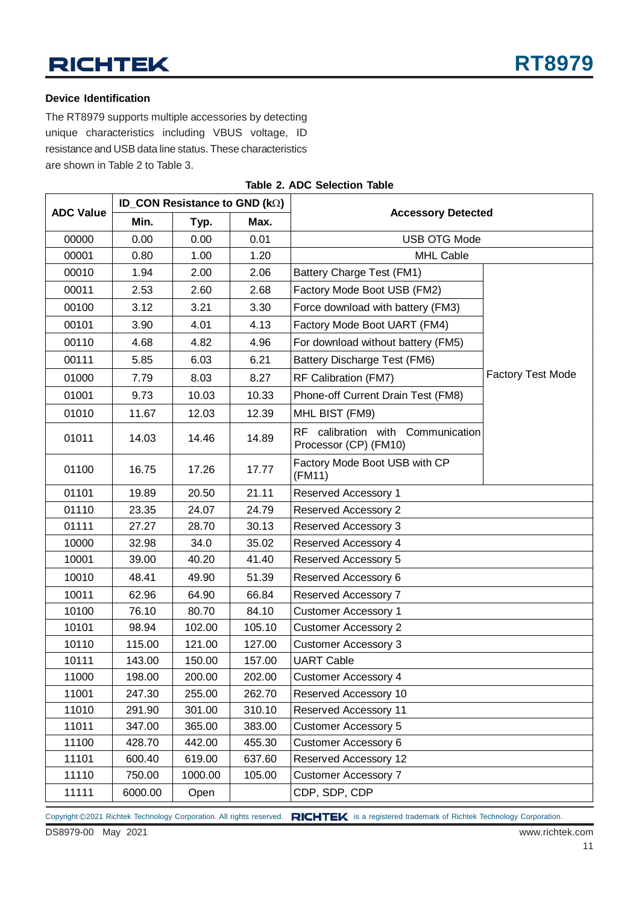## **RICHTEK**

#### **Device Identification**

The RT8979 supports multiple accessories by detecting unique characteristics including VBUS voltage, ID resistance and USB data line status. These characteristics are shown in Table 2 to Table 3.

|                  |         | ID CON Resistance to GND ( $k\Omega$ ) |        |                                                            |                          |  |
|------------------|---------|----------------------------------------|--------|------------------------------------------------------------|--------------------------|--|
| <b>ADC Value</b> | Min.    | Typ.                                   | Max.   | <b>Accessory Detected</b>                                  |                          |  |
| 00000            | 0.00    | 0.00                                   | 0.01   | <b>USB OTG Mode</b>                                        |                          |  |
| 00001            | 0.80    | 1.00                                   | 1.20   | <b>MHL Cable</b>                                           |                          |  |
| 00010            | 1.94    | 2.00                                   | 2.06   | Battery Charge Test (FM1)                                  |                          |  |
| 00011            | 2.53    | 2.60                                   | 2.68   | Factory Mode Boot USB (FM2)                                |                          |  |
| 00100            | 3.12    | 3.21                                   | 3.30   | Force download with battery (FM3)                          |                          |  |
| 00101            | 3.90    | 4.01                                   | 4.13   | Factory Mode Boot UART (FM4)                               |                          |  |
| 00110            | 4.68    | 4.82                                   | 4.96   | For download without battery (FM5)                         |                          |  |
| 00111            | 5.85    | 6.03                                   | 6.21   | Battery Discharge Test (FM6)                               |                          |  |
| 01000            | 7.79    | 8.03                                   | 8.27   | RF Calibration (FM7)                                       | <b>Factory Test Mode</b> |  |
| 01001            | 9.73    | 10.03                                  | 10.33  | Phone-off Current Drain Test (FM8)                         |                          |  |
| 01010            | 11.67   | 12.03                                  | 12.39  | MHL BIST (FM9)                                             |                          |  |
| 01011            | 14.03   | 14.46                                  | 14.89  | RF calibration with Communication<br>Processor (CP) (FM10) |                          |  |
| 01100            | 16.75   | 17.26                                  | 17.77  | Factory Mode Boot USB with CP<br>(FM11)                    |                          |  |
| 01101            | 19.89   | 20.50                                  | 21.11  | Reserved Accessory 1                                       |                          |  |
| 01110            | 23.35   | 24.07                                  | 24.79  | Reserved Accessory 2                                       |                          |  |
| 01111            | 27.27   | 28.70                                  | 30.13  | Reserved Accessory 3                                       |                          |  |
| 10000            | 32.98   | 34.0                                   | 35.02  | Reserved Accessory 4                                       |                          |  |
| 10001            | 39.00   | 40.20                                  | 41.40  | Reserved Accessory 5                                       |                          |  |
| 10010            | 48.41   | 49.90                                  | 51.39  | Reserved Accessory 6                                       |                          |  |
| 10011            | 62.96   | 64.90                                  | 66.84  | Reserved Accessory 7                                       |                          |  |
| 10100            | 76.10   | 80.70                                  | 84.10  | <b>Customer Accessory 1</b>                                |                          |  |
| 10101            | 98.94   | 102.00                                 | 105.10 | <b>Customer Accessory 2</b>                                |                          |  |
| 10110            | 115.00  | 121.00                                 | 127.00 | <b>Customer Accessory 3</b>                                |                          |  |
| 10111            | 143.00  | 150.00                                 | 157.00 | <b>UART Cable</b>                                          |                          |  |
| 11000            | 198.00  | 200.00                                 | 202.00 | <b>Customer Accessory 4</b>                                |                          |  |
| 11001            | 247.30  | 255.00                                 | 262.70 | Reserved Accessory 10                                      |                          |  |
| 11010            | 291.90  | 301.00                                 | 310.10 | Reserved Accessory 11                                      |                          |  |
| 11011            | 347.00  | 365.00                                 | 383.00 | <b>Customer Accessory 5</b>                                |                          |  |
| 11100            | 428.70  | 442.00                                 | 455.30 | <b>Customer Accessory 6</b>                                |                          |  |
| 11101            | 600.40  | 619.00                                 | 637.60 | Reserved Accessory 12                                      |                          |  |
| 11110            | 750.00  | 1000.00                                | 105.00 | <b>Customer Accessory 7</b>                                |                          |  |
| 11111            | 6000.00 | Open                                   |        | CDP, SDP, CDP                                              |                          |  |

#### **Table 2. ADC Selection Table**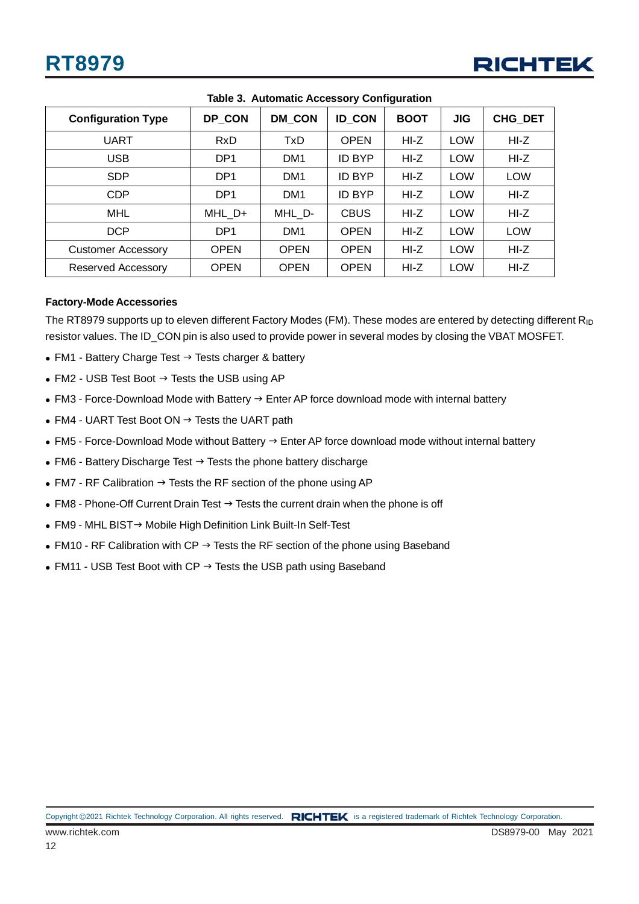

| <b>Configuration Type</b> | DP CON          | <b>DM CON</b>   | <b>ID CON</b> | <b>BOOT</b> | <b>JIG</b> | CHG_DET    |
|---------------------------|-----------------|-----------------|---------------|-------------|------------|------------|
| <b>UART</b>               | <b>RxD</b>      | TxD             | <b>OPEN</b>   | HI-Z        | <b>LOW</b> | HI-Z       |
| <b>USB</b>                | DP <sub>1</sub> | DM <sub>1</sub> | <b>ID BYP</b> | HI-Z        | <b>LOW</b> | $HI-Z$     |
| <b>SDP</b>                | DP <sub>1</sub> | DM <sub>1</sub> | <b>ID BYP</b> | HI-Z        | LOW        | <b>LOW</b> |
| <b>CDP</b>                | DP <sub>1</sub> | DM <sub>1</sub> | <b>ID BYP</b> | $HI-Z$      | LOW        | $HI-Z$     |
| MHL                       | MHL_D+          | MHL D-          | <b>CBUS</b>   | HI-Z        | <b>LOW</b> | $HI-Z$     |
| <b>DCP</b>                | DP <sub>1</sub> | DM <sub>1</sub> | <b>OPEN</b>   | HI-Z        | <b>LOW</b> | <b>LOW</b> |
| <b>Customer Accessory</b> | <b>OPEN</b>     | <b>OPEN</b>     | <b>OPEN</b>   | HI-Z        | LOW        | $HI-Z$     |
| <b>Reserved Accessory</b> | <b>OPEN</b>     | <b>OPEN</b>     | <b>OPEN</b>   | $HI-Z$      | <b>LOW</b> | $HI-Z$     |

**Table 3. Automatic Accessory Configuration**

#### **Factory-Mode Accessories**

The RT8979 supports up to eleven different Factory Modes (FM). These modes are entered by detecting different R<sub>ID</sub> resistor values. The ID\_CON pin is also used to provide power in several modes by closing the VBAT MOSFET.

- $\bullet$  FM1 Battery Charge Test  $\rightarrow$  Tests charger & battery
- $\bullet$  FM2 USB Test Boot  $\rightarrow$  Tests the USB using AP
- $\bullet$  FM3 Force-Download Mode with Battery  $\rightarrow$  Enter AP force download mode with internal battery
- $\bullet$  FM4 UART Test Boot ON  $\rightarrow$  Tests the UART path
- $\bullet$  FM5 Force-Download Mode without Battery  $\rightarrow$  Enter AP force download mode without internal battery
- $\bullet$  FM6 Battery Discharge Test  $\rightarrow$  Tests the phone battery discharge
- $\bullet$  FM7 RF Calibration  $\rightarrow$  Tests the RF section of the phone using AP
- $\bullet$  FM8 Phone-Off Current Drain Test  $\rightarrow$  Tests the current drain when the phone is off
- FM9 MHL BIST→ Mobile High Definition Link Built-In Self-Test
- FM10 RF Calibration with CP  $\rightarrow$  Tests the RF section of the phone using Baseband
- FM11 USB Test Boot with CP  $\rightarrow$  Tests the USB path using Baseband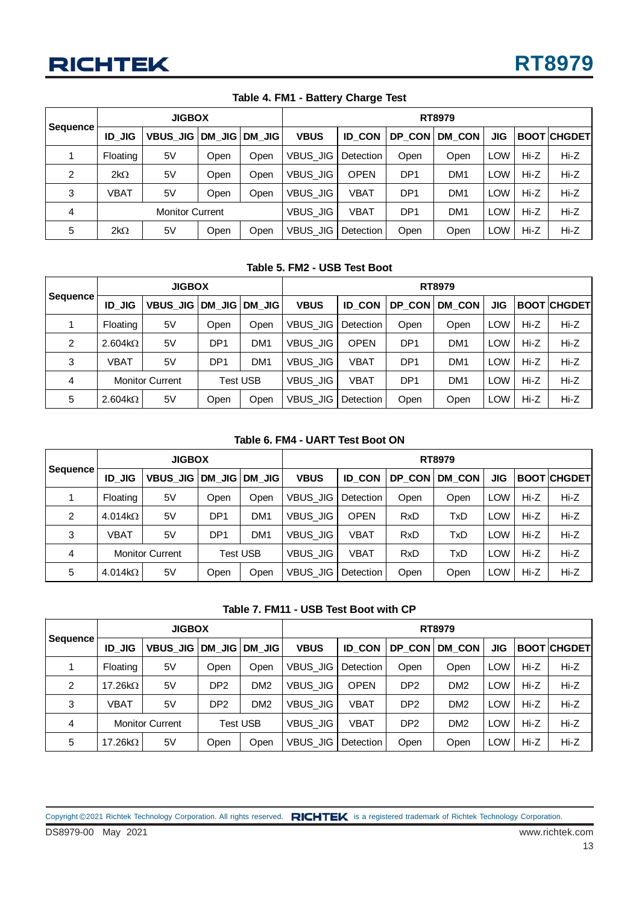|                 | <b>JIGBOX</b>          |                   |      |                | RT8979          |                  |                 |                 |            |        |                    |
|-----------------|------------------------|-------------------|------|----------------|-----------------|------------------|-----------------|-----------------|------------|--------|--------------------|
| <b>Sequence</b> | <b>ID JIG</b>          | VBUS JIG   DM JIG |      | <b>IDM JIG</b> | <b>VBUS</b>     | <b>ID CON</b>    | DP CON          | DM_CON          | <b>JIG</b> |        | <b>BOOTICHGDET</b> |
|                 | Floating               | 5V                | Open | Open           | <b>VBUS JIG</b> | <b>Detection</b> | Open            | Open            | <b>LOW</b> | Hi-Z   | $Hi-Z$             |
| 2               | $2k\Omega$             | 5V                | Open | Open           | VBUS JIG        | <b>OPEN</b>      | DP <sub>1</sub> | DM <sub>1</sub> | <b>LOW</b> | Hi-Z   | $Hi-Z$             |
| 3               | VBAT                   | 5V                | Open | Open           | VBUS JIG        | VBAT             | DP1             | DM <sub>1</sub> | <b>LOW</b> | Hi-Z   | $Hi-Z$             |
| 4               | <b>Monitor Current</b> |                   |      | VBUS JIG       | <b>VBAT</b>     | DP <sub>1</sub>  | DM <sub>1</sub> | <b>LOW</b>      | Hi-Z       | $Hi-Z$ |                    |
| 5               | $2k\Omega$             | 5V                | Open | Open           | VBUS JIG        | Detection        | Open            | Open            | <b>LOW</b> | Hi-Z   | $Hi-Z$             |

**Table 4. FM1 - Battery Charge Test**

#### **Table 5. FM2 - USB Test Boot**

| Sequence |                | <b>JIGBOX</b>          |                 |                 |                 | RT8979        |                 |                 |            |        |                    |  |  |
|----------|----------------|------------------------|-----------------|-----------------|-----------------|---------------|-----------------|-----------------|------------|--------|--------------------|--|--|
|          | <b>ID JIG</b>  | <b>VBUS JIGI</b>       | $DM$ JIG        | <b>DM JIG</b>   | <b>VBUS</b>     | <b>ID CON</b> | DP_CON          | <b>DM CON</b>   | JIG        |        | <b>BOOTICHGDET</b> |  |  |
|          | Floating       | 5V                     | Open            | Open            | VBUS JIG        | Detection     | Open            | Open            | LOW        | Hi-Z   | Hi-Z               |  |  |
| 2        | $2.604k\Omega$ | 5V                     | DP <sub>1</sub> | DM <sub>1</sub> | <b>VBUS JIG</b> | <b>OPEN</b>   | DP <sub>1</sub> | DM <sub>1</sub> | <b>LOW</b> | Hi-Z   | $Hi-Z$             |  |  |
| 3        | VBAT           | 5V                     | DP <sub>1</sub> | DM <sub>1</sub> | <b>VBUS JIG</b> | VBAT          | DP <sub>1</sub> | DM <sub>1</sub> | LOW        | Hi-Z   | $Hi-Z$             |  |  |
| 4        |                | <b>Monitor Current</b> |                 | <b>Test USB</b> | <b>VBUS JIG</b> | VBAT          | DP <sub>1</sub> | DM <sub>1</sub> | LOW        | $Hi-Z$ | Hi-Z               |  |  |
| 5        | $2.604k\Omega$ | 5V                     | Open            | Open            | VBUS JIG        | Detection     | Open            | Open            | LOW        | Hi-Z   | $Hi-Z$             |  |  |

#### **Table 6. FM4 - UART Test Boot ON**

| <b>Sequence!</b> |                 | <b>JIGBOX</b>          |                 |                 |                 | RT8979        |            |            |     |      |                    |  |  |
|------------------|-----------------|------------------------|-----------------|-----------------|-----------------|---------------|------------|------------|-----|------|--------------------|--|--|
|                  | <b>ID JIG</b>   | <b>VBUS JIG</b>        | DM JIG          | DM JIG          | <b>VBUS</b>     | <b>ID CON</b> | DP CON     | DM_CON     | JIG |      | <b>BOOTICHGDET</b> |  |  |
|                  | Floating        | 5V                     | Open            | Open            | VBUS JIG I      | Detection     | Open       | Open       | LOW | Hi-Z | $Hi-Z$             |  |  |
| $\mathcal{P}$    | 4.014k $\Omega$ | 5V                     | DP <sub>1</sub> | DM <sub>1</sub> | <b>VBUS JIG</b> | <b>OPEN</b>   | <b>RxD</b> | TxD        | LOW | Hi-Z | Hi-Z               |  |  |
| 3                | <b>VBAT</b>     | 5V                     | DP <sub>1</sub> | DM <sub>1</sub> | VBUS JIG        | VBAT          | <b>RxD</b> | <b>TxD</b> | LOW | Hi-Z | $Hi-Z$             |  |  |
| 4                |                 | <b>Monitor Current</b> |                 | <b>Test USB</b> | VBUS JIG        | VBAT          | <b>RxD</b> | <b>TxD</b> | LOW | Hi-Z | $Hi-Z$             |  |  |
| 5                | $4.014k\Omega$  | 5V                     | Open            | Open            | VBUS_JIG        | Detection     | Open       | Open       | LOW | Hi-Z | $Hi-Z$             |  |  |

#### **Table 7. FM11 - USB Test Boot with CP**

| <b>Sequence</b> |               | <b>JIGBOX</b>          |                 |                 |                 | <b>RT8979</b> |                 |                 |            |        |                    |  |  |
|-----------------|---------------|------------------------|-----------------|-----------------|-----------------|---------------|-----------------|-----------------|------------|--------|--------------------|--|--|
|                 | <b>ID JIG</b> | <b>VBUS JIG</b>        | <b>DM JIG</b>   | IDM JIG         | <b>VBUS</b>     | <b>ID CON</b> | DP CON          | <b>DM CON</b>   | JIG        |        | <b>BOOTICHGDET</b> |  |  |
|                 | Floating      | 5V                     | Open            | Open            | VBUS JIG        | Detection     | Open            | Open            | LOW        | Hi-Z   | Hi-Z               |  |  |
| $\overline{2}$  | 17.26kΩ       | 5V                     | DP <sub>2</sub> | DM <sub>2</sub> | <b>VBUS JIG</b> | <b>OPEN</b>   | DP <sub>2</sub> | DM <sub>2</sub> | <b>LOW</b> | Hi-Z   | $Hi-Z$             |  |  |
| 3               | VBAT          | 5V                     | DP <sub>2</sub> | DM <sub>2</sub> | <b>VBUS JIG</b> | <b>VBAT</b>   | DP <sub>2</sub> | DM <sub>2</sub> | <b>LOW</b> | Hi-Z   | $Hi-Z$             |  |  |
| 4               |               | <b>Monitor Current</b> |                 | <b>Test USB</b> | VBUS JIG        | VBAT          | DP <sub>2</sub> | DM <sub>2</sub> | LOW        | $Hi-Z$ | $Hi-Z$             |  |  |
| 5               | 17.26kΩ       | 5V                     | Open            | Open            | <b>VBUS JIG</b> | Detection     | Open            | Open            | <b>LOW</b> | Hi-Z   | $Hi-Z$             |  |  |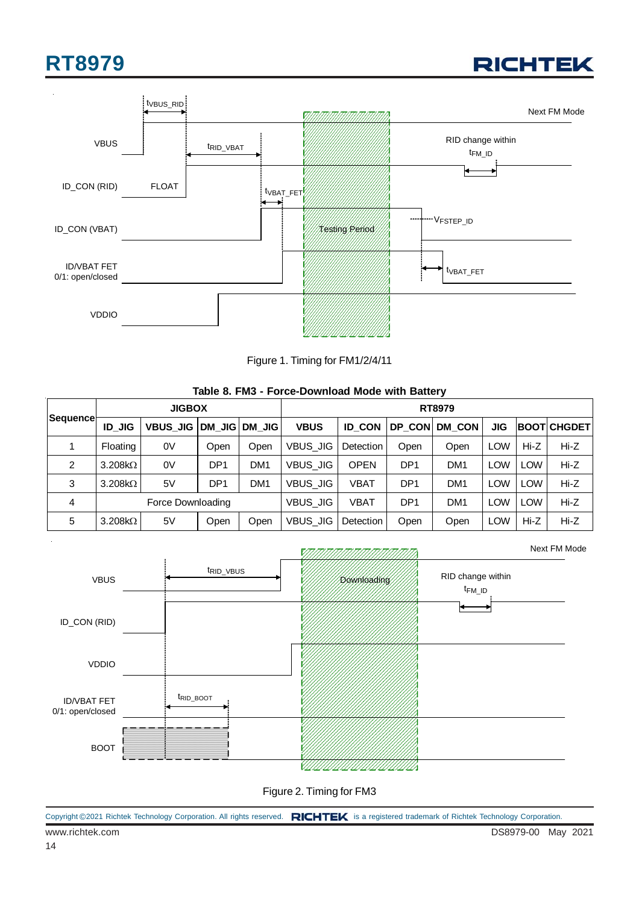





Figure 1. Timing for FM1/2/4/11

|                       |                |                   |                 |                 | T 9190 DOMINOUM MOUG MINI DUNOT I |                  |                 |                 |            |            |                      |  |  |
|-----------------------|----------------|-------------------|-----------------|-----------------|-----------------------------------|------------------|-----------------|-----------------|------------|------------|----------------------|--|--|
|                       |                | <b>JIGBOX</b>     |                 |                 |                                   | RT8979           |                 |                 |            |            |                      |  |  |
| Sequence <sub>r</sub> | <b>ID JIG</b>  | <b>VBUS JIG</b>   | DM JIG          | DM JIG          | <b>VBUS</b>                       | <b>ID CON</b>    | DP CON          | <b>DM CON</b>   | JIG        |            | <b>IBOOTI CHGDET</b> |  |  |
|                       | Floating       | 0V                | Open            | Open            | <b>VBUS JIG</b>                   | <b>Detection</b> | Open            | Open            | <b>LOW</b> | $Hi-Z$     | $Hi-Z$               |  |  |
| $\overline{2}$        | $3.208k\Omega$ | 0V                | DP <sub>1</sub> | DM <sub>1</sub> | <b>VBUS JIG</b>                   | <b>OPEN</b>      | DP <sub>1</sub> | DM <sub>1</sub> | LOW        | <b>LOW</b> | Hi-Z                 |  |  |
| 3                     | $3.208k\Omega$ | 5V                | DP <sub>1</sub> | DM <sub>1</sub> | <b>VBUS JIG</b>                   | <b>VBAT</b>      | DP <sub>1</sub> | DM <sub>1</sub> | <b>LOW</b> | <b>LOW</b> | Hi-Z                 |  |  |
| 4                     |                | Force Downloading |                 |                 | <b>VBUS JIG</b>                   | <b>VBAT</b>      | DP <sub>1</sub> | DM <sub>1</sub> | <b>LOW</b> | <b>LOW</b> | Hi-Z                 |  |  |
| 5                     | $3.208k\Omega$ | 5V                | Open            | Open            | <b>VBUS JIG</b>                   | Detection        | Open            | Open            | <b>LOW</b> | $Hi-Z$     | Hi-Z                 |  |  |

#### **Table 8. FM3 - Force-Download Mode with Battery**



Figure 2. Timing for FM3

|  |  |  | Copyright ©2021 Richtek Technology Corporation. All rights reserved. RICHTEK is a registered trademark of Richtek Technology Corporation. |  |
|--|--|--|-------------------------------------------------------------------------------------------------------------------------------------------|--|
|--|--|--|-------------------------------------------------------------------------------------------------------------------------------------------|--|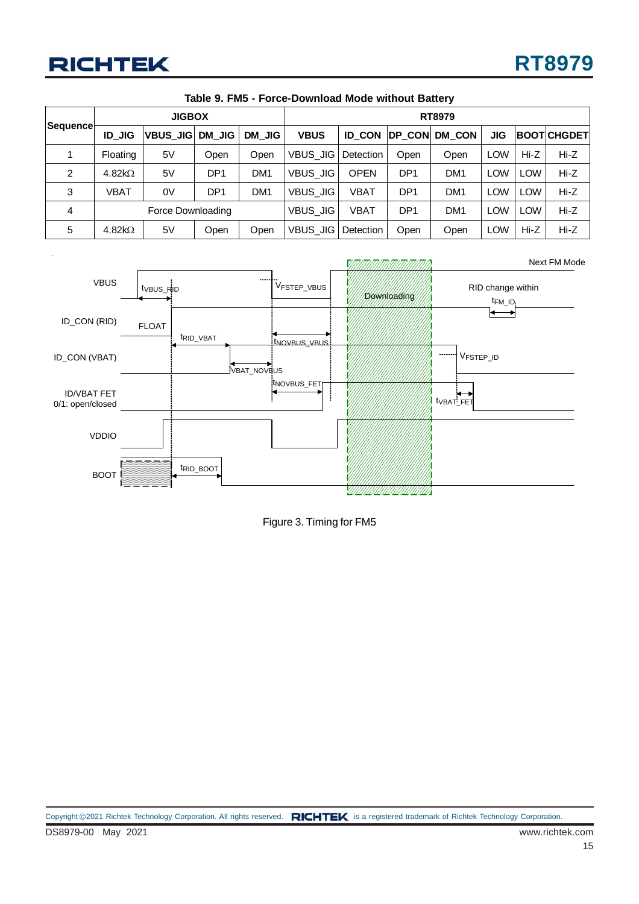| Sequence       |                   | <b>JIGBOX</b>    |                 |                 |                 | <b>RT8979</b> |                 |                 |            |            |                    |  |  |
|----------------|-------------------|------------------|-----------------|-----------------|-----------------|---------------|-----------------|-----------------|------------|------------|--------------------|--|--|
|                | <b>ID JIG</b>     | <b>VBUS JIGI</b> | DM JIG          | DM JIG          | <b>VBUS</b>     | <b>ID CON</b> | <b>IDP CON</b>  | <b>DM CON</b>   | <b>JIG</b> |            | <b>BOOTICHGDET</b> |  |  |
|                | Floating          | 5V               | Open            | Open            | VBUS JIG        | Detection     | Open            | Open            | <b>LOW</b> | Hi-Z       | $Hi-Z$             |  |  |
| $\overline{2}$ | 4.82 $k\Omega$    | 5V               | DP <sub>1</sub> | DM <sub>1</sub> | <b>VBUS_JIG</b> | <b>OPEN</b>   | DP <sub>1</sub> | DM <sub>1</sub> | <b>LOW</b> | <b>LOW</b> | Hi-Z               |  |  |
| 3              | VBAT              | 0V               | DP <sub>1</sub> | DM <sub>1</sub> | VBUS JIG        | <b>VBAT</b>   | DP <sub>1</sub> | DM <sub>1</sub> | <b>LOW</b> | <b>LOW</b> | $Hi-Z$             |  |  |
| 4              | Force Downloading |                  |                 |                 | <b>VBUS JIG</b> | VBAT          | DP <sub>1</sub> | DM <sub>1</sub> | <b>LOW</b> | <b>LOW</b> | $Hi-Z$             |  |  |
| 5              | 4.82 $k\Omega$    | 5V               | Open            | Open            | <b>VBUS JIG</b> | Detection     | Open            | Open            | <b>LOW</b> | Hi-Z       | Hi-Z               |  |  |

| Table 9. FM5 - Force-Download Mode without Battery |  |  |
|----------------------------------------------------|--|--|
|----------------------------------------------------|--|--|



Figure 3. Timing for FM5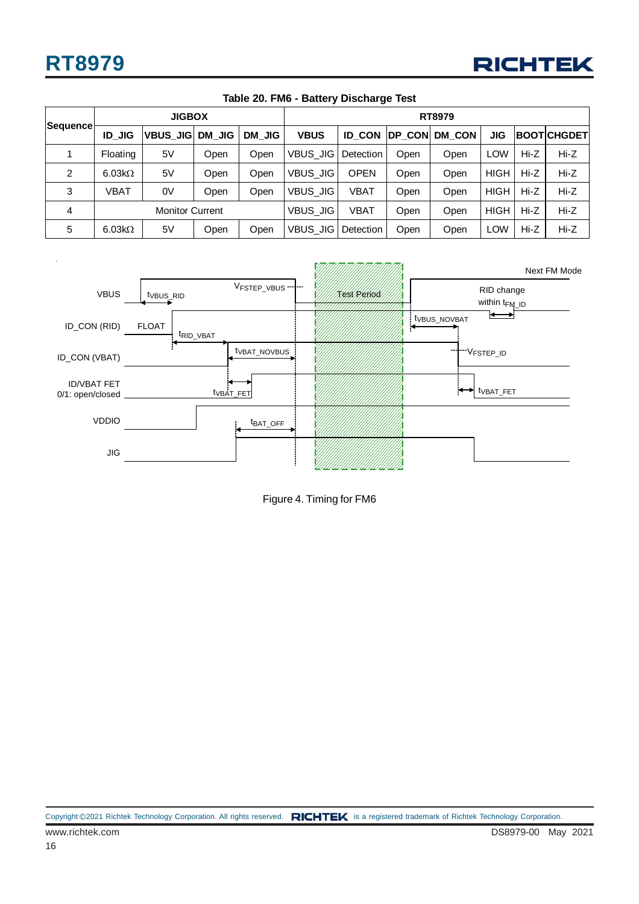

| Sequence       |               | <b>JIGBOX</b>          |        |        | <b>RT8979</b> |               |      |               |             |        |                    |  |
|----------------|---------------|------------------------|--------|--------|---------------|---------------|------|---------------|-------------|--------|--------------------|--|
|                | <b>ID JIG</b> | <b>VBUS JIG</b>        | DM JIG | DM JIG | <b>VBUS</b>   | <b>ID CON</b> |      | DP CON DM CON | JIG         |        | <b>BOOTICHGDET</b> |  |
|                | Floating      | 5V                     | Open   | Open   | VBUS JIG      | Detection     | Open | Open          | <b>LOW</b>  | $Hi-Z$ | $Hi-Z$             |  |
| 2              | $6.03k\Omega$ | 5V                     | Open   | Open   | VBUS JIG      | <b>OPEN</b>   | Open | Open          | <b>HIGH</b> | $Hi-Z$ | $Hi-Z$             |  |
| 3              | VBAT          | 0V                     | Open   | Open   | VBUS JIG      | <b>VBAT</b>   | Open | Open          | <b>HIGH</b> | $Hi-Z$ | $Hi-Z$             |  |
| $\overline{4}$ |               | <b>Monitor Current</b> |        |        | VBUS JIG      | VBAT          | Open | Open          | <b>HIGH</b> | Hi-Z   | $Hi-Z$             |  |
| 5              | $6.03k\Omega$ | 5V                     | Open   | Open   | VBUS JIG      | Detection     | Open | Open          | <b>LOW</b>  | $Hi-Z$ | $Hi-Z$             |  |

#### **Table 20. FM6 - Battery Discharge Test**



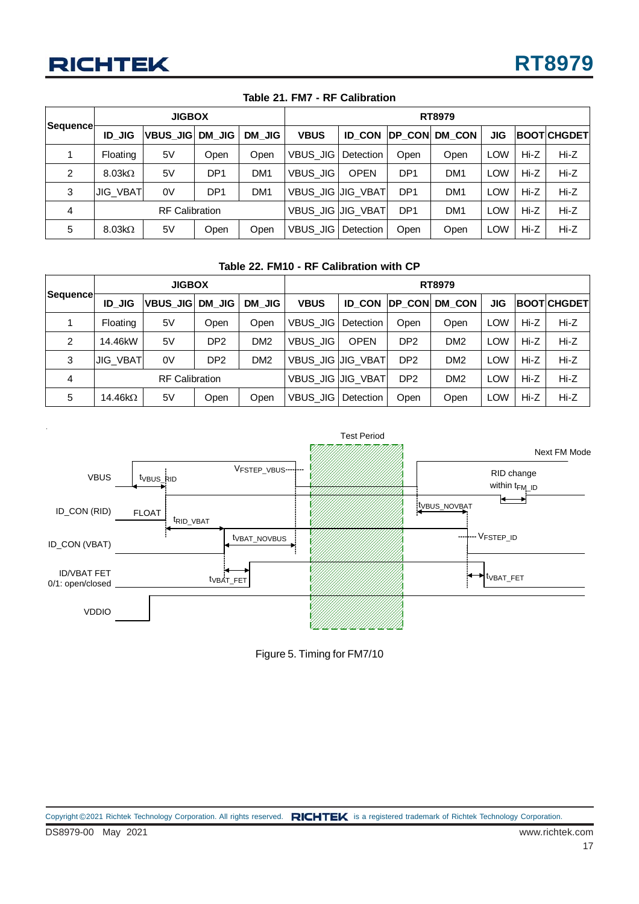| Sequence       |                       | <b>JIGBOX</b>   |                 |                 |                     | <b>RT8979</b> |                 |                 |            |      |                    |  |
|----------------|-----------------------|-----------------|-----------------|-----------------|---------------------|---------------|-----------------|-----------------|------------|------|--------------------|--|
|                | <b>ID JIG</b>         | <b>VBUS JIG</b> | DM JIG          | DM JIG          | <b>VBUS</b>         | <b>ID CON</b> | <b>DP CON</b>   | <b>DM CON</b>   | <b>JIG</b> |      | <b>BOOTICHGDET</b> |  |
|                | Floating              | 5V              | Open            | Open            | <b>VBUS JIG</b>     | Detection     | Open            | Open            | LOW        | Hi-Z | $Hi-Z$             |  |
| $\overline{2}$ | $8.03k\Omega$         | 5V              | DP <sub>1</sub> | DM <sub>1</sub> | <b>VBUS JIG</b>     | <b>OPEN</b>   | DP <sub>1</sub> | DM <sub>1</sub> | <b>LOW</b> | Hi-Z | $Hi-Z$             |  |
| 3              | <b>JIG_VBAT</b>       | 0V              | DP <sub>1</sub> | DM <sub>1</sub> | VBUS_JIG   JIG_VBAT |               | DP <sub>1</sub> | DM <sub>1</sub> | <b>LOW</b> | Hi-Z | $Hi-Z$             |  |
| 4              | <b>RF Calibration</b> |                 |                 |                 | VBUS_JIG   JIG_VBAT |               | DP <sub>1</sub> | DM <sub>1</sub> | <b>LOW</b> | Hi-Z | $Hi-Z$             |  |
| 5              | $8.03k\Omega$         | 5V              | Open            | Open            | <b>VBUS JIG</b>     | Detection     | Open            | Open            | LOW        | Hi-Z | $Hi-Z$             |  |

#### **Table 21. FM7 - RF Calibration**

#### **Table 22. FM10 - RF Calibration with CP**

| Sequence |                       | <b>JIGBOX</b>   |                 |                 |                          | <b>RT8979</b> |                 |                 |            |        |                    |  |  |
|----------|-----------------------|-----------------|-----------------|-----------------|--------------------------|---------------|-----------------|-----------------|------------|--------|--------------------|--|--|
|          | <b>ID JIG</b>         | <b>VBUS JIG</b> | DM JIG          | DM JIG          | <b>VBUS</b>              | <b>ID CON</b> | <b>IDP CONI</b> | <b>DM CON</b>   | <b>JIG</b> |        | <b>BOOTICHGDET</b> |  |  |
|          | Floating              | 5V              | Open            | Open            | VBUS JIG                 | Detection     | Open            | Open            | <b>LOW</b> | Hi-Z   | $Hi-Z$             |  |  |
| 2        | 14.46kW               | 5V              | DP <sub>2</sub> | DM <sub>2</sub> | <b>VBUS JIG</b>          | <b>OPEN</b>   | DP <sub>2</sub> | DM <sub>2</sub> | LOW        | $Hi-Z$ | $Hi-Z$             |  |  |
| 3        | <b>JIG_VBAT</b>       | 0V              | DP <sub>2</sub> | DM <sub>2</sub> | VBUS_JIG   JIG_VBAT      |               | DP <sub>2</sub> | DM <sub>2</sub> | <b>LOW</b> | $Hi-Z$ | $Hi-Z$             |  |  |
| 4        | <b>RF Calibration</b> |                 |                 |                 | <b>VBUS JIG JIG VBAT</b> |               | DP <sub>2</sub> | DM <sub>2</sub> | LOW        | Hi-Z   | $Hi-Z$             |  |  |
| 5        | 14.46 $k\Omega$       | 5V              | Open            | Open            | VBUS_JIG                 | Detection     | Open            | Open            | <b>LOW</b> | $Hi-Z$ | $Hi-Z$             |  |  |



Figure 5. Timing for FM7/10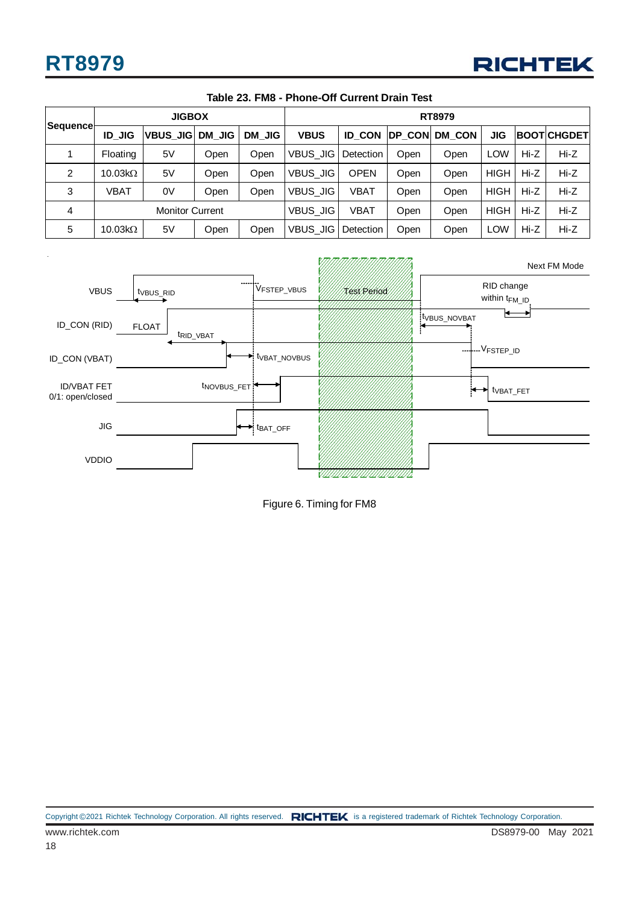

| <b>Sequence</b> |                        | <b>JIGBOX</b>   |        |        |                 | <b>RT8979</b> |      |               |             |        |                    |  |  |
|-----------------|------------------------|-----------------|--------|--------|-----------------|---------------|------|---------------|-------------|--------|--------------------|--|--|
|                 | <b>ID JIG</b>          | <b>VBUS JIG</b> | DM JIG | DM JIG | <b>VBUS</b>     | <b>ID CON</b> |      | DP_CON DM_CON | JIG         |        | <b>BOOTICHGDET</b> |  |  |
|                 | <b>Floating</b>        | 5V              | Open   | Open   | <b>VBUS JIG</b> | Detection     | Open | Open          | <b>LOW</b>  | $Hi-Z$ | Hi-Z               |  |  |
| 2               | 10.03 $k\Omega$        | 5V              | Open   | Open   | <b>VBUS JIG</b> | <b>OPEN</b>   | Open | Open          | <b>HIGH</b> | Hi-Z   | Hi-Z               |  |  |
| 3               | VBAT                   | 0V              | Open   | Open   | <b>VBUS JIG</b> | VBAT          | Open | Open          | <b>HIGH</b> | Hi-Z   | $Hi-Z$             |  |  |
| 4               | <b>Monitor Current</b> |                 |        |        | <b>VBUS JIG</b> | <b>VBAT</b>   | Open | Open          | <b>HIGH</b> | Hi-Z   | $Hi-Z$             |  |  |
| 5               | $10.03k\Omega$         | 5V              | Open   | Open   | <b>VBUS JIG</b> | Detection     | Open | Open          | <b>LOW</b>  | Hi-Z   | Hi-Z               |  |  |

#### **Table 23. FM8 - Phone-Off Current Drain Test**



Figure 6. Timing for FM8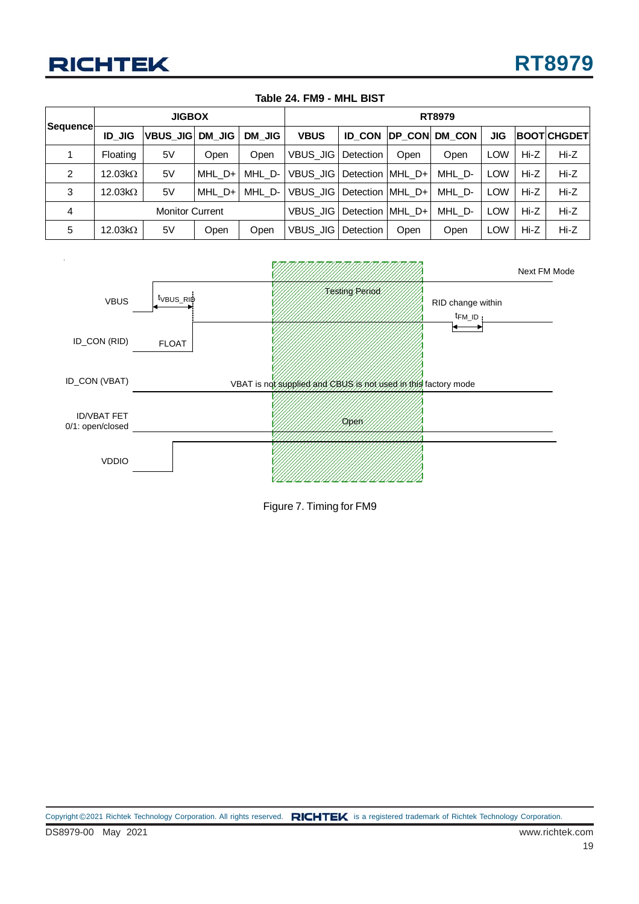| Sequence |                        | <b>JIGBOX</b>   |        |        |                  | RT8979             |      |                       |            |      |                     |  |  |
|----------|------------------------|-----------------|--------|--------|------------------|--------------------|------|-----------------------|------------|------|---------------------|--|--|
|          | <b>ID JIG</b>          | VBUS JIG DM JIG |        | DM JIG | <b>VBUS</b>      |                    |      | ID CON IDP CON DM CON | <b>JIG</b> |      | <b>BOOTICHGDETI</b> |  |  |
|          | Floating               | 5V              | Open   | Open   | VBUS_JIG         | Detection          | Open | Open                  | <b>LOW</b> | Hi-Z | $Hi-Z$              |  |  |
| 2        | 12.03 $k\Omega$        | 5V              | MHL D+ | MHL D- | VBUS JIGI        | Detection MHL D+   |      | MHL D-                | <b>LOW</b> | Hi-Z | $Hi-Z$              |  |  |
| 3        | $12.03k\Omega$         | 5V              | MHL D+ | MHL D- | <b>VBUS JIGI</b> | Detection MHL D+   |      | MHL D-                | <b>LOW</b> | Hi-Z | $Hi-Z$              |  |  |
| 4        | <b>Monitor Current</b> |                 |        |        | VBUS JIGI        | Detection   MHL_D+ |      | MHL D-                | <b>LOW</b> | Hi-Z | $Hi-Z$              |  |  |
| 5        | 12.03 $k\Omega$        | 5V              | Open   | Open   | VBUS JIG         | Detection          | Open | Open                  | <b>LOW</b> | Hi-Z | $Hi-Z$              |  |  |

#### **Table 24. FM9 - MHL BIST**



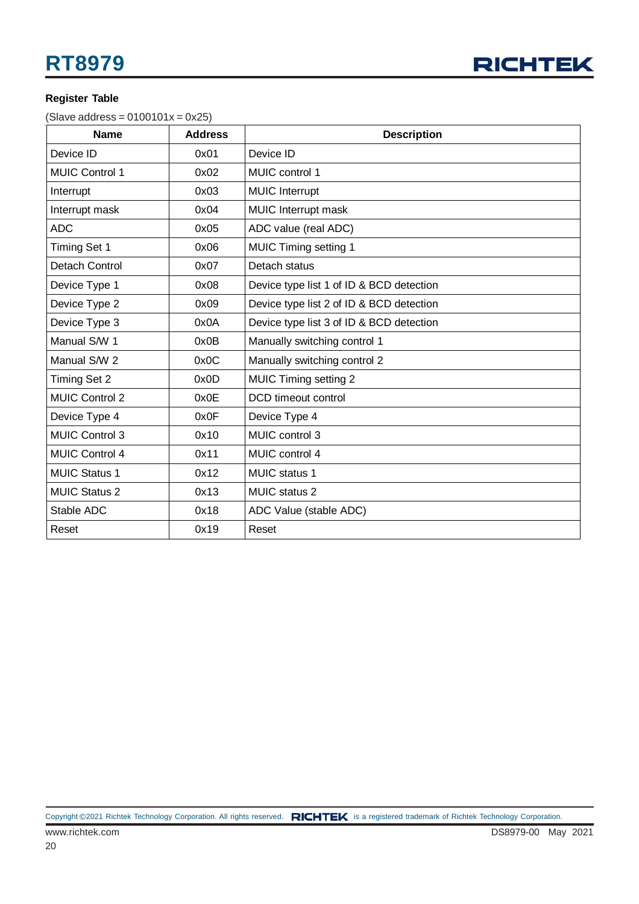

#### **Register Table**

 $(Slave address = 0100101x = 0x25)$ 

| <b>Name</b>           | <b>Address</b> | <b>Description</b>                       |
|-----------------------|----------------|------------------------------------------|
| Device ID             | 0x01           | Device ID                                |
| <b>MUIC Control 1</b> | 0x02           | MUIC control 1                           |
| Interrupt             | 0x03           | <b>MUIC Interrupt</b>                    |
| Interrupt mask        | 0x04           | MUIC Interrupt mask                      |
| <b>ADC</b>            | 0x05           | ADC value (real ADC)                     |
| Timing Set 1          | 0x06           | <b>MUIC Timing setting 1</b>             |
| Detach Control        | 0x07           | Detach status                            |
| Device Type 1         | 0x08           | Device type list 1 of ID & BCD detection |
| Device Type 2         | 0x09           | Device type list 2 of ID & BCD detection |
| Device Type 3         | 0x0A           | Device type list 3 of ID & BCD detection |
| Manual S/W 1          | 0x0B           | Manually switching control 1             |
| Manual S/W 2          | 0x0C           | Manually switching control 2             |
| <b>Timing Set 2</b>   | 0x0D           | <b>MUIC Timing setting 2</b>             |
| <b>MUIC Control 2</b> | 0x0E           | DCD timeout control                      |
| Device Type 4         | 0x0F           | Device Type 4                            |
| <b>MUIC Control 3</b> | 0x10           | MUIC control 3                           |
| <b>MUIC Control 4</b> | 0x11           | MUIC control 4                           |
| <b>MUIC Status 1</b>  | 0x12           | MUIC status 1                            |
| <b>MUIC Status 2</b>  | 0x13           | <b>MUIC</b> status 2                     |
| Stable ADC            | 0x18           | ADC Value (stable ADC)                   |
| Reset                 | 0x19           | Reset                                    |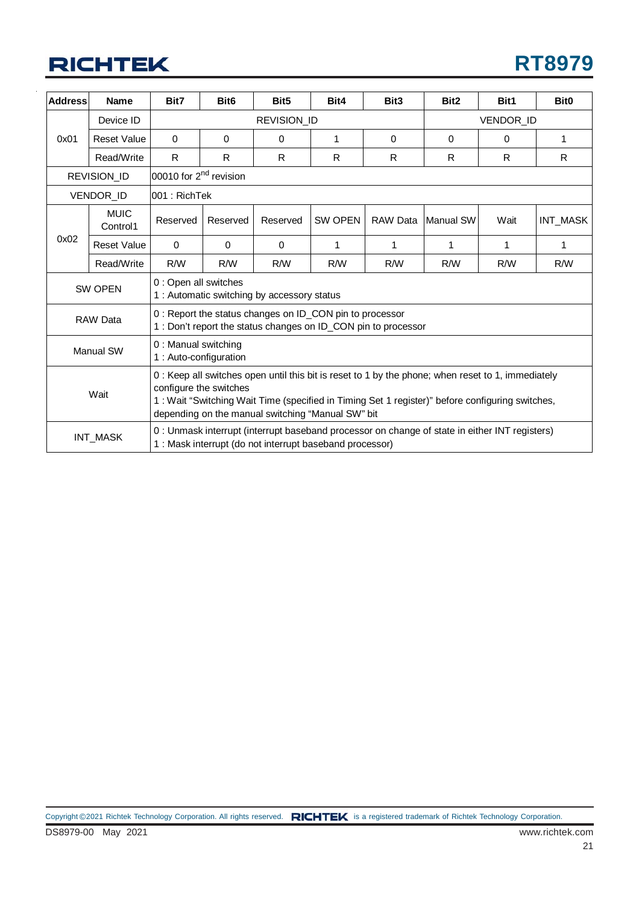## **RICHTEK**

| <b>Address</b> | <b>Name</b>             | Bit7                                                                                                                                                                                                                                                                                | Bit <sub>6</sub> | Bit <sub>5</sub>                                         | Bit4         | Bit <sub>3</sub>                                                                               | Bit <sub>2</sub> | Bit1      | Bit <sub>0</sub> |
|----------------|-------------------------|-------------------------------------------------------------------------------------------------------------------------------------------------------------------------------------------------------------------------------------------------------------------------------------|------------------|----------------------------------------------------------|--------------|------------------------------------------------------------------------------------------------|------------------|-----------|------------------|
|                | Device ID               |                                                                                                                                                                                                                                                                                     |                  | <b>REVISION ID</b>                                       |              |                                                                                                |                  | VENDOR_ID |                  |
| 0x01           | <b>Reset Value</b>      | $\Omega$                                                                                                                                                                                                                                                                            | $\Omega$         | $\Omega$                                                 | $\mathbf{1}$ | $\Omega$                                                                                       | $\Omega$         | $\Omega$  | 1                |
|                | Read/Write              | R                                                                                                                                                                                                                                                                                   | R                | R                                                        | R            | R                                                                                              | R                | R.        | R.               |
|                | <b>REVISION ID</b>      | 00010 for 2 <sup>nd</sup> revision                                                                                                                                                                                                                                                  |                  |                                                          |              |                                                                                                |                  |           |                  |
|                | VENDOR_ID               | l001 : RichTek                                                                                                                                                                                                                                                                      |                  |                                                          |              |                                                                                                |                  |           |                  |
|                | <b>MUIC</b><br>Control1 | Reserved                                                                                                                                                                                                                                                                            | Reserved         | Reserved                                                 | SW OPEN      | <b>RAW Data</b>                                                                                | Manual SW        | Wait      | INT_MASK         |
| 0x02           | <b>Reset Value</b>      | $\mathbf{0}$                                                                                                                                                                                                                                                                        | $\Omega$         | $\Omega$                                                 | 1            | 1                                                                                              | 1                | 1         | 1                |
|                | Read/Write              | R/W                                                                                                                                                                                                                                                                                 | R/W              | R/W                                                      | R/W          | R/W                                                                                            | R/W              | R/W       | R/W              |
|                | SW OPEN                 | 0 : Open all switches<br>1 : Automatic switching by accessory status                                                                                                                                                                                                                |                  |                                                          |              |                                                                                                |                  |           |                  |
|                | RAW Data                |                                                                                                                                                                                                                                                                                     |                  | 0 : Report the status changes on ID_CON pin to processor |              | 1 : Don't report the status changes on ID_CON pin to processor                                 |                  |           |                  |
|                | Manual SW               | 0 : Manual switching<br>1 : Auto-configuration                                                                                                                                                                                                                                      |                  |                                                          |              |                                                                                                |                  |           |                  |
|                | Wait                    | 0: Keep all switches open until this bit is reset to 1 by the phone; when reset to 1, immediately<br>configure the switches<br>1: Wait "Switching Wait Time (specified in Timing Set 1 register)" before configuring switches,<br>depending on the manual switching "Manual SW" bit |                  |                                                          |              |                                                                                                |                  |           |                  |
|                | INT_MASK                |                                                                                                                                                                                                                                                                                     |                  | 1: Mask interrupt (do not interrupt baseband processor)  |              | 0 : Unmask interrupt (interrupt baseband processor on change of state in either INT registers) |                  |           |                  |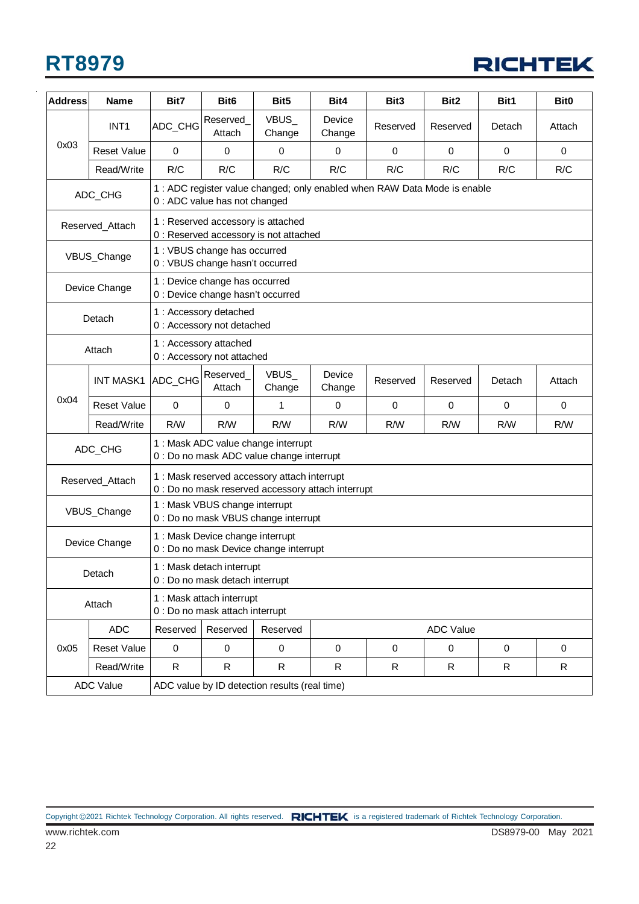

| <b>Address</b> | Name               | Bit7                                                         | Bit <sub>6</sub>                                                    | Bit <sub>5</sub>                                                                                   | Bit4             | Bit <sub>3</sub>                                                          | Bit <sub>2</sub> | Bit1        | Bit <sub>0</sub> |  |
|----------------|--------------------|--------------------------------------------------------------|---------------------------------------------------------------------|----------------------------------------------------------------------------------------------------|------------------|---------------------------------------------------------------------------|------------------|-------------|------------------|--|
|                | INT <sub>1</sub>   | ADC_CHG                                                      | Reserved_<br>Attach                                                 | VBUS_<br>Change                                                                                    | Device<br>Change | Reserved                                                                  | Reserved         | Detach      | Attach           |  |
| 0x03           | <b>Reset Value</b> | $\Omega$                                                     | $\mathbf 0$                                                         | $\mathbf 0$                                                                                        | $\mathbf 0$      | $\mathbf 0$                                                               | $\mathbf 0$      | $\mathbf 0$ | $\mathbf 0$      |  |
|                | Read/Write         | R/C                                                          | R/C                                                                 | R/C                                                                                                | R/C              | R/C                                                                       | R/C              | R/C         | R/C              |  |
|                | ADC_CHG            |                                                              | 0 : ADC value has not changed                                       |                                                                                                    |                  | 1 : ADC register value changed; only enabled when RAW Data Mode is enable |                  |             |                  |  |
|                | Reserved_Attach    |                                                              |                                                                     | 1 : Reserved accessory is attached<br>0 : Reserved accessory is not attached                       |                  |                                                                           |                  |             |                  |  |
|                | VBUS_Change        |                                                              | 1 : VBUS change has occurred<br>0 : VBUS change hasn't occurred     |                                                                                                    |                  |                                                                           |                  |             |                  |  |
|                | Device Change      |                                                              | 1 : Device change has occurred<br>0 : Device change hasn't occurred |                                                                                                    |                  |                                                                           |                  |             |                  |  |
|                | Detach             |                                                              | 1 : Accessory detached<br>0 : Accessory not detached                |                                                                                                    |                  |                                                                           |                  |             |                  |  |
|                | Attach             |                                                              | 1 : Accessory attached<br>0 : Accessory not attached                |                                                                                                    |                  |                                                                           |                  |             |                  |  |
|                | <b>INT MASK1</b>   | ADC_CHG                                                      | Reserved<br>Attach                                                  | <b>VBUS</b><br>Change                                                                              | Device<br>Change | Reserved                                                                  | Reserved         | Detach      | Attach           |  |
| 0x04           | <b>Reset Value</b> | 0                                                            | 0                                                                   | 1                                                                                                  | 0                | $\Omega$                                                                  | 0                | $\mathbf 0$ | $\mathbf 0$      |  |
|                | Read/Write         | R/W                                                          | R/W                                                                 | R/W                                                                                                | R/W              | R/W                                                                       | R/W              | R/W         | R/W              |  |
|                | ADC_CHG            |                                                              |                                                                     | 1 : Mask ADC value change interrupt<br>0 : Do no mask ADC value change interrupt                   |                  |                                                                           |                  |             |                  |  |
|                | Reserved_Attach    |                                                              |                                                                     | 1 : Mask reserved accessory attach interrupt<br>0 : Do no mask reserved accessory attach interrupt |                  |                                                                           |                  |             |                  |  |
|                | VBUS_Change        |                                                              | 1 : Mask VBUS change interrupt                                      | 0 : Do no mask VBUS change interrupt                                                               |                  |                                                                           |                  |             |                  |  |
|                | Device Change      |                                                              | 1 : Mask Device change interrupt                                    | 0 : Do no mask Device change interrupt                                                             |                  |                                                                           |                  |             |                  |  |
|                | Detach             |                                                              | 1 : Mask detach interrupt<br>0 : Do no mask detach interrupt        |                                                                                                    |                  |                                                                           |                  |             |                  |  |
|                | Attach             | 1 : Mask attach interrupt<br>0 : Do no mask attach interrupt |                                                                     |                                                                                                    |                  |                                                                           |                  |             |                  |  |
|                | <b>ADC</b>         | <b>ADC Value</b><br>Reserved<br>Reserved<br>Reserved         |                                                                     |                                                                                                    |                  |                                                                           |                  |             |                  |  |
| 0x05           | <b>Reset Value</b> | $\mathbf 0$                                                  | $\mathbf 0$                                                         | $\pmb{0}$                                                                                          | 0                | $\mathbf 0$                                                               | 0                | 0           | $\mathbf 0$      |  |
|                | Read/Write         | $\mathsf{R}$                                                 | R                                                                   | R                                                                                                  | R                | $\mathsf{R}$                                                              | $\mathsf{R}$     | R           | $\mathsf{R}$     |  |
|                | <b>ADC Value</b>   |                                                              |                                                                     | ADC value by ID detection results (real time)                                                      |                  |                                                                           |                  |             |                  |  |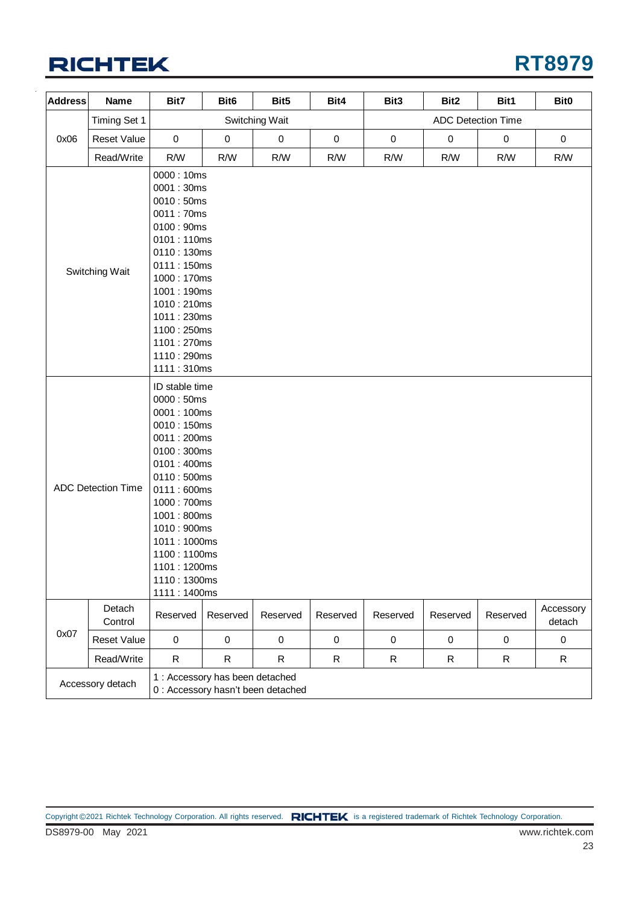

| <b>Address</b>                                                                                                                                                                                                                                                                    | Name               | Bit7                                                                                                                                                                                                        | Bit <sub>6</sub>                | Bit5                               | Bit4        | Bit3        | Bit2        | Bit1                      | Bit0                |
|-----------------------------------------------------------------------------------------------------------------------------------------------------------------------------------------------------------------------------------------------------------------------------------|--------------------|-------------------------------------------------------------------------------------------------------------------------------------------------------------------------------------------------------------|---------------------------------|------------------------------------|-------------|-------------|-------------|---------------------------|---------------------|
|                                                                                                                                                                                                                                                                                   | Timing Set 1       |                                                                                                                                                                                                             |                                 | Switching Wait                     |             |             |             | <b>ADC Detection Time</b> |                     |
| 0x06                                                                                                                                                                                                                                                                              | <b>Reset Value</b> | $\mathbf 0$                                                                                                                                                                                                 | $\pmb{0}$                       | $\pmb{0}$                          | $\pmb{0}$   | $\mathbf 0$ | $\pmb{0}$   | $\pmb{0}$                 | $\pmb{0}$           |
|                                                                                                                                                                                                                                                                                   | Read/Write         | R/W                                                                                                                                                                                                         | R/W                             | R/W                                | R/W         | R/W         | R/W         | R/W                       | R/W                 |
|                                                                                                                                                                                                                                                                                   | Switching Wait     | 0000: 10ms<br>0001:30ms<br>0010:50ms<br>0011:70ms<br>0100:90ms<br>0101:110ms<br>0110:130ms<br>0111:150ms<br>1000: 170ms<br>1001:190ms<br>1010:210ms<br>1011:230ms<br>1100:250ms<br>1101:270ms<br>1110:290ms |                                 |                                    |             |             |             |                           |                     |
| 1111:310ms<br>ID stable time<br>0000: 50ms<br>0001:100ms<br>0010:150ms<br>0011:200ms<br>0100:300ms<br>0101:400ms<br>0110:500ms<br><b>ADC Detection Time</b><br>0111:600ms<br>1000: 700ms<br>1001:800ms<br>1010: 900ms<br>1011:1000ms<br>1100:1100ms<br>1101:1200ms<br>1110:1300ms |                    |                                                                                                                                                                                                             |                                 |                                    |             |             |             |                           |                     |
|                                                                                                                                                                                                                                                                                   | Detach<br>Control  | 1111:1400ms<br>Reserved                                                                                                                                                                                     | Reserved                        | Reserved                           | Reserved    | Reserved    | Reserved    | Reserved                  | Accessory<br>detach |
| 0x07                                                                                                                                                                                                                                                                              | <b>Reset Value</b> | $\mathbf 0$                                                                                                                                                                                                 | $\mathbf 0$                     | $\pmb{0}$                          | $\mathbf 0$ | $\pmb{0}$   | $\mathbf 0$ | $\pmb{0}$                 | $\pmb{0}$           |
|                                                                                                                                                                                                                                                                                   | Read/Write         | $\mathsf{R}$                                                                                                                                                                                                | $\mathsf R$                     | $\mathsf R$                        | $\mathsf R$ | $\mathsf R$ | $\mathsf R$ | $\mathsf{R}$              | $\mathsf R$         |
|                                                                                                                                                                                                                                                                                   | Accessory detach   |                                                                                                                                                                                                             | 1 : Accessory has been detached | 0 : Accessory hasn't been detached |             |             |             |                           |                     |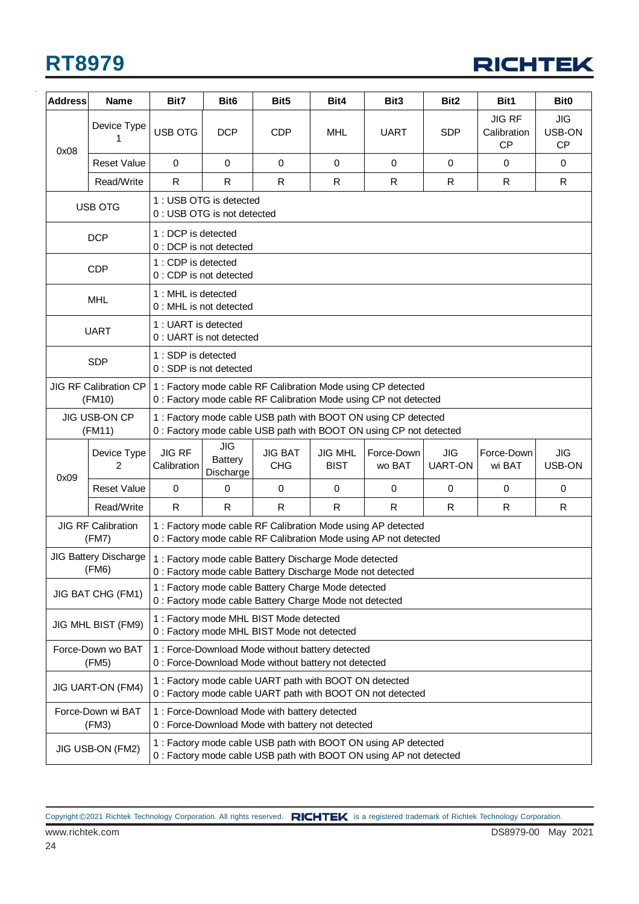

| <b>Address</b> | Name                                   | Bit7                                                                                                                                 | Bit <sub>6</sub>                                       | Bit <sub>5</sub>                                                                                                     | Bit4                          | Bit <sub>3</sub>                                                                                                                     | Bit <sub>2</sub>             | Bit1                                      | Bit <sub>0</sub>                  |  |
|----------------|----------------------------------------|--------------------------------------------------------------------------------------------------------------------------------------|--------------------------------------------------------|----------------------------------------------------------------------------------------------------------------------|-------------------------------|--------------------------------------------------------------------------------------------------------------------------------------|------------------------------|-------------------------------------------|-----------------------------------|--|
| 0x08           | Device Type<br>1                       | USB OTG                                                                                                                              | <b>DCP</b>                                             | <b>CDP</b>                                                                                                           | <b>MHL</b>                    | <b>UART</b>                                                                                                                          | <b>SDP</b>                   | <b>JIG RF</b><br>Calibration<br><b>CP</b> | <b>JIG</b><br>USB-ON<br><b>CP</b> |  |
|                | <b>Reset Value</b>                     | $\mathbf 0$                                                                                                                          | $\mathbf 0$                                            | 0                                                                                                                    | $\mathbf 0$                   | $\mathbf 0$                                                                                                                          | $\mathbf 0$                  | $\mathbf 0$                               | $\mathbf 0$                       |  |
|                | Read/Write                             | R                                                                                                                                    | R                                                      | R                                                                                                                    | R                             | R                                                                                                                                    | R.                           | R                                         | $\mathsf{R}$                      |  |
|                | <b>USB OTG</b>                         |                                                                                                                                      | 1 : USB OTG is detected<br>0 : USB OTG is not detected |                                                                                                                      |                               |                                                                                                                                      |                              |                                           |                                   |  |
|                | <b>DCP</b>                             | 1 : DCP is detected                                                                                                                  | 0 : DCP is not detected                                |                                                                                                                      |                               |                                                                                                                                      |                              |                                           |                                   |  |
|                | <b>CDP</b>                             | 1 : CDP is detected                                                                                                                  | 0 : CDP is not detected                                |                                                                                                                      |                               |                                                                                                                                      |                              |                                           |                                   |  |
|                | <b>MHL</b>                             | 1: MHL is detected                                                                                                                   | 0 : MHL is not detected                                |                                                                                                                      |                               |                                                                                                                                      |                              |                                           |                                   |  |
|                | <b>UART</b>                            | 1: UART is detected                                                                                                                  | 0 : UART is not detected                               |                                                                                                                      |                               |                                                                                                                                      |                              |                                           |                                   |  |
|                | <b>SDP</b>                             | 1 : SDP is detected                                                                                                                  | 0 : SDP is not detected                                |                                                                                                                      |                               |                                                                                                                                      |                              |                                           |                                   |  |
|                | <b>JIG RF Calibration CP</b><br>(FM10) | 1 : Factory mode cable RF Calibration Mode using CP detected<br>0 : Factory mode cable RF Calibration Mode using CP not detected     |                                                        |                                                                                                                      |                               |                                                                                                                                      |                              |                                           |                                   |  |
|                | <b>JIG USB-ON CP</b><br>(FM11)         | 1 : Factory mode cable USB path with BOOT ON using CP detected<br>0 : Factory mode cable USB path with BOOT ON using CP not detected |                                                        |                                                                                                                      |                               |                                                                                                                                      |                              |                                           |                                   |  |
| 0x09           | Device Type<br>2                       | <b>JIG RF</b><br>Calibration                                                                                                         | JIG<br><b>Battery</b><br>Discharge                     | <b>JIG BAT</b><br><b>CHG</b>                                                                                         | <b>JIG MHL</b><br><b>BIST</b> | Force-Down<br>wo BAT                                                                                                                 | <b>JIG</b><br><b>UART-ON</b> | Force-Down<br>wi BAT                      | JIG<br>USB-ON                     |  |
|                | <b>Reset Value</b>                     | $\mathbf 0$                                                                                                                          | $\mathbf 0$                                            | $\mathbf 0$                                                                                                          | 0                             | 0                                                                                                                                    | $\mathbf 0$                  | $\mathbf 0$                               | $\mathbf 0$                       |  |
|                | Read/Write                             | $\mathsf{R}$                                                                                                                         | R                                                      | R                                                                                                                    | R.                            | R.                                                                                                                                   | R.                           | R                                         | R                                 |  |
|                | <b>JIG RF Calibration</b><br>(FM7)     |                                                                                                                                      |                                                        |                                                                                                                      |                               | 1 : Factory mode cable RF Calibration Mode using AP detected<br>0 : Factory mode cable RF Calibration Mode using AP not detected     |                              |                                           |                                   |  |
|                | <b>JIG Battery Discharge</b><br>(FM6)  |                                                                                                                                      |                                                        | 1 : Factory mode cable Battery Discharge Mode detected<br>0 : Factory mode cable Battery Discharge Mode not detected |                               |                                                                                                                                      |                              |                                           |                                   |  |
|                | JIG BAT CHG (FM1)                      |                                                                                                                                      |                                                        | 1 : Factory mode cable Battery Charge Mode detected<br>0 : Factory mode cable Battery Charge Mode not detected       |                               |                                                                                                                                      |                              |                                           |                                   |  |
|                | JIG MHL BIST (FM9)                     |                                                                                                                                      |                                                        | 1 : Factory mode MHL BIST Mode detected<br>0 : Factory mode MHL BIST Mode not detected                               |                               |                                                                                                                                      |                              |                                           |                                   |  |
|                | Force-Down wo BAT<br>(FM5)             | 1 : Force-Download Mode without battery detected<br>0 : Force-Download Mode without battery not detected                             |                                                        |                                                                                                                      |                               |                                                                                                                                      |                              |                                           |                                   |  |
|                | JIG UART-ON (FM4)                      | 1 : Factory mode cable UART path with BOOT ON detected<br>0 : Factory mode cable UART path with BOOT ON not detected                 |                                                        |                                                                                                                      |                               |                                                                                                                                      |                              |                                           |                                   |  |
|                | Force-Down wi BAT<br>(FM3)             |                                                                                                                                      |                                                        | 1 : Force-Download Mode with battery detected<br>0 : Force-Download Mode with battery not detected                   |                               |                                                                                                                                      |                              |                                           |                                   |  |
|                | JIG USB-ON (FM2)                       |                                                                                                                                      |                                                        |                                                                                                                      |                               | 1 : Factory mode cable USB path with BOOT ON using AP detected<br>0 : Factory mode cable USB path with BOOT ON using AP not detected |                              |                                           |                                   |  |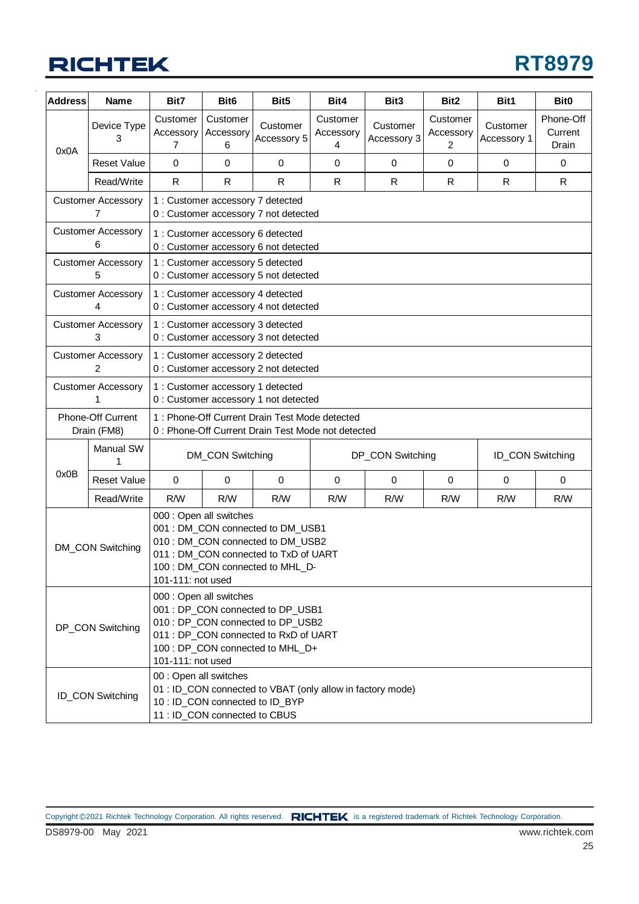

| <b>Address</b> | <b>Name</b>                      | Bit7                                                                                                                                                                                                | Bit <sub>6</sub>                  | Bit <sub>5</sub>                                                                                    | Bit4                       | Bit <sub>3</sub>        | Bit <sub>2</sub>           | Bit1                    | Bit <sub>0</sub>              |
|----------------|----------------------------------|-----------------------------------------------------------------------------------------------------------------------------------------------------------------------------------------------------|-----------------------------------|-----------------------------------------------------------------------------------------------------|----------------------------|-------------------------|----------------------------|-------------------------|-------------------------------|
| 0x0A           | Device Type<br>3                 | Customer<br>Accessory<br>7                                                                                                                                                                          | Customer<br>Accessory<br>6        | Customer<br>Accessory 5                                                                             | Customer<br>Accessory<br>4 | Customer<br>Accessory 3 | Customer<br>Accessory<br>2 | Customer<br>Accessory 1 | Phone-Off<br>Current<br>Drain |
|                | <b>Reset Value</b>               | 0                                                                                                                                                                                                   | 0                                 | $\mathbf 0$                                                                                         | 0                          | $\mathbf 0$             | $\mathbf 0$                | $\mathbf 0$             | 0                             |
|                | Read/Write                       | $\mathsf{R}$                                                                                                                                                                                        | R.                                | R                                                                                                   | R                          | R                       | $\mathsf R$                | R                       | R                             |
|                | <b>Customer Accessory</b><br>7   |                                                                                                                                                                                                     | 1 : Customer accessory 7 detected | 0 : Customer accessory 7 not detected                                                               |                            |                         |                            |                         |                               |
|                | <b>Customer Accessory</b><br>6   |                                                                                                                                                                                                     | 1 : Customer accessory 6 detected | 0 : Customer accessory 6 not detected                                                               |                            |                         |                            |                         |                               |
|                | <b>Customer Accessory</b><br>5   |                                                                                                                                                                                                     | 1 : Customer accessory 5 detected | 0 : Customer accessory 5 not detected                                                               |                            |                         |                            |                         |                               |
|                | <b>Customer Accessory</b><br>4   |                                                                                                                                                                                                     | 1 : Customer accessory 4 detected | 0 : Customer accessory 4 not detected                                                               |                            |                         |                            |                         |                               |
|                | <b>Customer Accessory</b><br>3   |                                                                                                                                                                                                     | 1 : Customer accessory 3 detected | 0 : Customer accessory 3 not detected                                                               |                            |                         |                            |                         |                               |
|                | <b>Customer Accessory</b><br>2   |                                                                                                                                                                                                     | 1 : Customer accessory 2 detected | 0 : Customer accessory 2 not detected                                                               |                            |                         |                            |                         |                               |
|                | <b>Customer Accessory</b><br>1   | 1 : Customer accessory 1 detected<br>0 : Customer accessory 1 not detected                                                                                                                          |                                   |                                                                                                     |                            |                         |                            |                         |                               |
|                | Phone-Off Current<br>Drain (FM8) |                                                                                                                                                                                                     |                                   | 1: Phone-Off Current Drain Test Mode detected<br>0 : Phone-Off Current Drain Test Mode not detected |                            |                         |                            |                         |                               |
|                | Manual SW<br>1                   |                                                                                                                                                                                                     | DM_CON Switching                  |                                                                                                     |                            | DP_CON Switching        |                            | <b>ID_CON Switching</b> |                               |
| 0x0B           | <b>Reset Value</b>               | $\mathbf 0$                                                                                                                                                                                         | 0                                 | $\mathbf 0$                                                                                         | $\mathbf 0$                | $\mathbf 0$             | $\mathbf 0$                | $\mathbf 0$             | $\mathbf 0$                   |
|                | Read/Write                       | R/W                                                                                                                                                                                                 | R/W                               | R/W                                                                                                 | R/W                        | R/W                     | R/W                        | R/W                     | R/W                           |
|                | DM_CON Switching                 | 000 : Open all switches<br>001 : DM_CON connected to DM_USB1<br>010 : DM_CON connected to DM_USB2<br>011 : DM_CON connected to TxD of UART<br>100 : DM_CON connected to MHL_D-<br>101-111: not used |                                   |                                                                                                     |                            |                         |                            |                         |                               |
|                | DP_CON Switching                 | 000 : Open all switches<br>001 : DP_CON connected to DP_USB1<br>010 : DP_CON connected to DP_USB2<br>011 : DP_CON connected to RxD of UART<br>100 : DP_CON connected to MHL_D+<br>101-111: not used |                                   |                                                                                                     |                            |                         |                            |                         |                               |
|                | ID_CON Switching                 | 00 : Open all switches                                                                                                                                                                              | 11 : ID_CON connected to CBUS     | 01 : ID_CON connected to VBAT (only allow in factory mode)<br>10 : ID_CON connected to ID_BYP       |                            |                         |                            |                         |                               |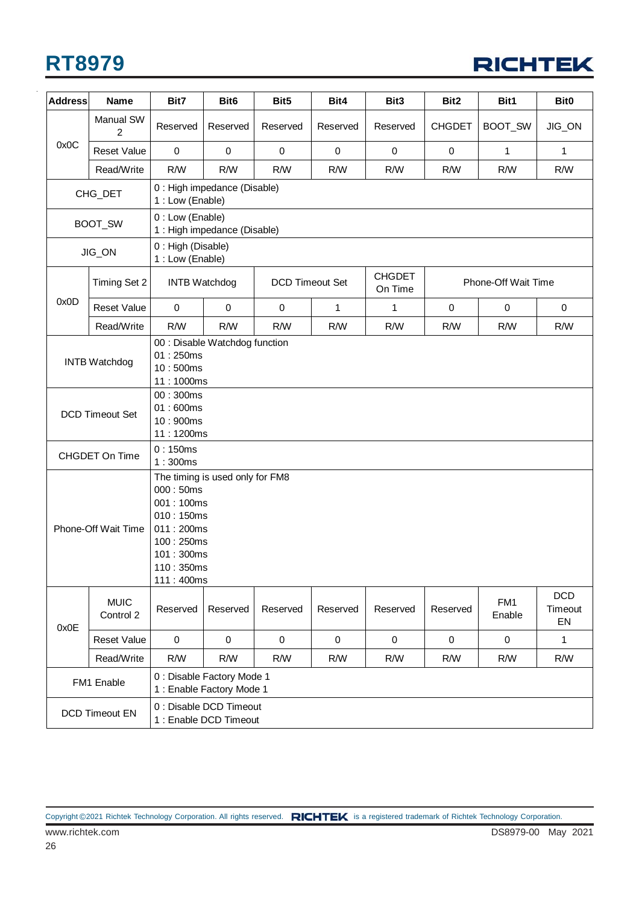

| <b>Address</b> | <b>Name</b>                                                      | Bit7                                                                                                    | Bit <sub>6</sub>                                                                            | Bit <sub>5</sub>       | Bit4        | Bit3                     | Bit2             | Bit1                | Bit <sub>0</sub>            |  |
|----------------|------------------------------------------------------------------|---------------------------------------------------------------------------------------------------------|---------------------------------------------------------------------------------------------|------------------------|-------------|--------------------------|------------------|---------------------|-----------------------------|--|
|                | <b>Manual SW</b><br>$\overline{2}$                               | Reserved                                                                                                | Reserved                                                                                    | Reserved               | Reserved    | Reserved                 | <b>CHGDET</b>    | BOOT_SW             | JIG_ON                      |  |
| 0x0C           | <b>Reset Value</b>                                               | 0                                                                                                       | $\pmb{0}$                                                                                   | $\pmb{0}$              | 0           | 0                        | $\pmb{0}$        | 1                   | 1                           |  |
|                | Read/Write                                                       | R/W                                                                                                     | R/W                                                                                         | R/W                    | R/W         | R/W                      | R/W              | R/W                 | R/W                         |  |
|                | CHG_DET                                                          | 1 : Low (Enable)                                                                                        | 0 : High impedance (Disable)                                                                |                        |             |                          |                  |                     |                             |  |
|                | BOOT_SW                                                          | 0 : Low (Enable)                                                                                        | 1 : High impedance (Disable)                                                                |                        |             |                          |                  |                     |                             |  |
|                | JIG_ON                                                           | 0 : High (Disable)<br>1 : Low (Enable)                                                                  |                                                                                             |                        |             |                          |                  |                     |                             |  |
|                | Timing Set 2                                                     | <b>INTB Watchdog</b>                                                                                    |                                                                                             | <b>DCD Timeout Set</b> |             | <b>CHGDET</b><br>On Time |                  | Phone-Off Wait Time |                             |  |
| 0x0D           | <b>Reset Value</b>                                               | $\mathbf 0$                                                                                             | $\mathbf 0$                                                                                 | $\mathbf 0$            | 1           | 1                        | $\mathbf 0$      | $\mathbf 0$         | $\mathbf 0$                 |  |
|                | Read/Write                                                       | R/W                                                                                                     | R/W                                                                                         | R/W                    | R/W         | R/W                      | R/W              | R/W                 | R/W                         |  |
|                | <b>INTB Watchdog</b><br><b>DCD Timeout Set</b><br>CHGDET On Time | 01:250ms<br>10:500ms<br>00:300ms<br>01:600ms<br>10:900ms<br>0:150ms<br>1:300ms<br>000:50ms<br>001:100ms | 00 : Disable Watchdog function<br>11:1000ms<br>11:1200ms<br>The timing is used only for FM8 |                        |             |                          |                  |                     |                             |  |
|                | Phone-Off Wait Time                                              | 010:150ms<br>011:200ms<br>100:250ms<br>101:300ms<br>110:350ms<br>111:400ms                              |                                                                                             |                        |             |                          |                  |                     |                             |  |
| 0x0E           | <b>MUIC</b><br>Control 2                                         | Reserved                                                                                                | Reserved                                                                                    | Reserved               | Reserved    | Reserved                 | Reserved         | FM1<br>Enable       | <b>DCD</b><br>Timeout<br>EN |  |
|                | <b>Reset Value</b>                                               | $\mathbf 0$                                                                                             | $\pmb{0}$                                                                                   | $\pmb{0}$              | $\mathbf 0$ | $\mathbf 0$              | $\boldsymbol{0}$ | $\pmb{0}$           | $\mathbf{1}$                |  |
|                | Read/Write                                                       | R/W                                                                                                     | R/W                                                                                         | R/W                    | R/W         | R/W                      | R/W              | R/W                 | R/W                         |  |
|                | FM1 Enable                                                       |                                                                                                         | 0 : Disable Factory Mode 1<br>1 : Enable Factory Mode 1                                     |                        |             |                          |                  |                     |                             |  |
|                | DCD Timeout EN                                                   |                                                                                                         | 0 : Disable DCD Timeout<br>1 : Enable DCD Timeout                                           |                        |             |                          |                  |                     |                             |  |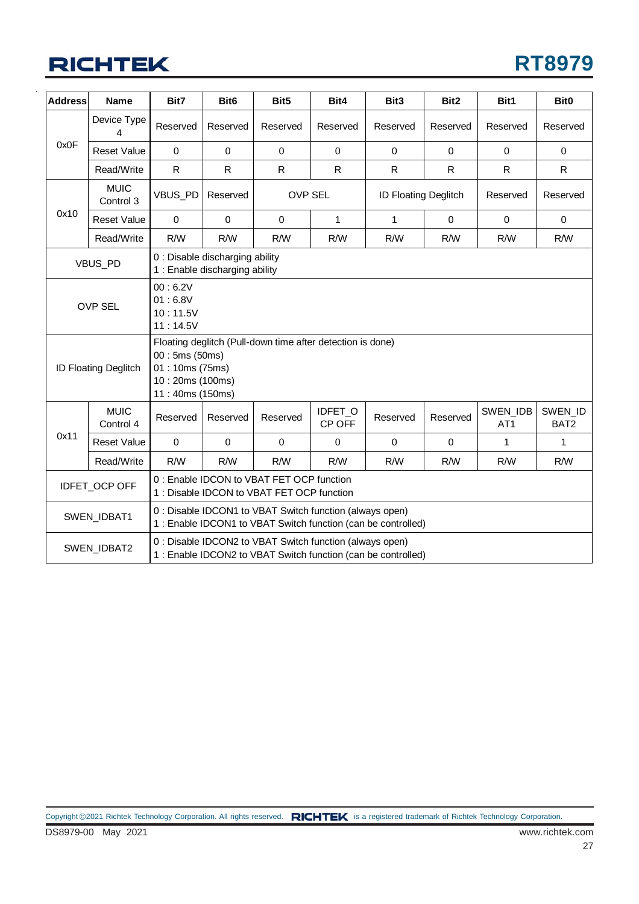

| <b>Address</b> | Name                     | Bit7                                                                                                                               | Bit <sub>6</sub>                                                  | Bit5                                                     | Bit4<br>Bit3<br>Bit2<br>Bit1<br>Bit0 |                                                               |             |                             |                             |  |  |  |
|----------------|--------------------------|------------------------------------------------------------------------------------------------------------------------------------|-------------------------------------------------------------------|----------------------------------------------------------|--------------------------------------|---------------------------------------------------------------|-------------|-----------------------------|-----------------------------|--|--|--|
|                | Device Type<br>4         | Reserved                                                                                                                           | Reserved                                                          | Reserved                                                 | Reserved                             | Reserved                                                      | Reserved    | Reserved                    | Reserved                    |  |  |  |
| 0x0F           | <b>Reset Value</b>       | $\mathbf 0$                                                                                                                        | $\mathbf 0$                                                       | $\mathbf 0$                                              | $\mathbf 0$                          | $\mathbf 0$                                                   | $\mathbf 0$ | $\mathbf 0$                 | $\pmb{0}$                   |  |  |  |
|                | Read/Write               | $\mathsf{R}$                                                                                                                       | R.                                                                | $\mathsf{R}$                                             | $\mathsf{R}$                         | $\mathsf{R}$                                                  | R           | $\mathsf{R}$                | R.                          |  |  |  |
|                | <b>MUIC</b><br>Control 3 | VBUS_PD                                                                                                                            | <b>OVP SEL</b><br><b>ID Floating Deglitch</b><br>Reserved         |                                                          |                                      |                                                               | Reserved    | Reserved                    |                             |  |  |  |
| 0x10           | <b>Reset Value</b>       | $\mathbf 0$                                                                                                                        | $\mathbf 0$                                                       | $\mathbf 0$                                              | $\mathbf{1}$                         | $\mathbf{1}$                                                  | $\pmb{0}$   | $\mathbf 0$                 | $\mathbf 0$                 |  |  |  |
|                | Read/Write               | R/W                                                                                                                                | R/W                                                               | R/W                                                      | R/W                                  | R/W                                                           | R/W         | R/W                         | R/W                         |  |  |  |
|                | VBUS_PD                  |                                                                                                                                    | 0 : Disable discharging ability<br>1 : Enable discharging ability |                                                          |                                      |                                                               |             |                             |                             |  |  |  |
|                | <b>OVP SEL</b>           | 00:6.2V<br>01:6.8V<br>10:11.5V<br>11:14.5V                                                                                         |                                                                   |                                                          |                                      |                                                               |             |                             |                             |  |  |  |
|                | ID Floating Deglitch     | Floating deglitch (Pull-down time after detection is done)<br>00:5ms(50ms)<br>01:10ms (75ms)<br>10:20ms (100ms)<br>11:40ms (150ms) |                                                                   |                                                          |                                      |                                                               |             |                             |                             |  |  |  |
|                | <b>MUIC</b><br>Control 4 | Reserved                                                                                                                           | Reserved                                                          | Reserved                                                 | IDFET_O<br>CP OFF                    | Reserved                                                      | Reserved    | SWEN_IDB<br>AT <sub>1</sub> | SWEN_ID<br>BAT <sub>2</sub> |  |  |  |
| 0x11           | <b>Reset Value</b>       | $\mathbf 0$                                                                                                                        | $\mathbf 0$                                                       | $\mathbf 0$                                              | $\mathbf 0$                          | $\mathbf 0$                                                   | 0           | 1                           | 1                           |  |  |  |
|                | Read/Write               | R/W                                                                                                                                | R/W                                                               | R/W                                                      | R/W                                  | R/W                                                           | R/W         | R/W                         | R/W                         |  |  |  |
|                | IDFET_OCP OFF            | 0 : Enable IDCON to VBAT FET OCP function<br>1 : Disable IDCON to VBAT FET OCP function                                            |                                                                   |                                                          |                                      |                                                               |             |                             |                             |  |  |  |
|                | SWEN_IDBAT1              | 0 : Disable IDCON1 to VBAT Switch function (always open)<br>1 : Enable IDCON1 to VBAT Switch function (can be controlled)          |                                                                   |                                                          |                                      |                                                               |             |                             |                             |  |  |  |
|                | SWEN_IDBAT2              |                                                                                                                                    |                                                                   | 0 : Disable IDCON2 to VBAT Switch function (always open) |                                      | 1 : Enable IDCON2 to VBAT Switch function (can be controlled) |             |                             |                             |  |  |  |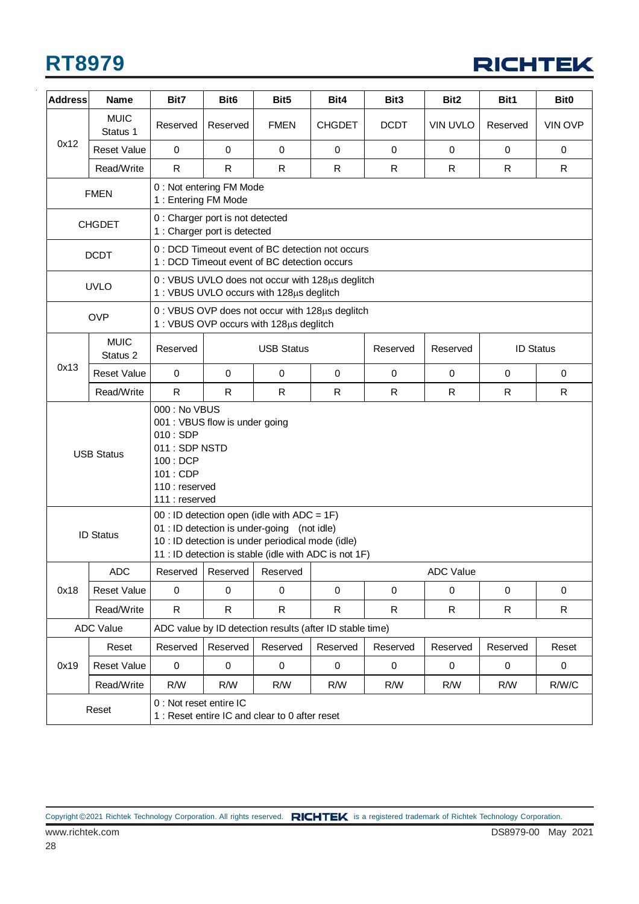

| <b>Address</b> | Name                                                                                                                                                          | Bit7                                                                                        | Bit <sub>6</sub>                                                 | Bit <sub>5</sub>                                                                                                                                                                                         | Bit4                                                  | Bit <sub>3</sub> | Bit <sub>2</sub> | Bit1             | <b>Bit0</b>    |  |
|----------------|---------------------------------------------------------------------------------------------------------------------------------------------------------------|---------------------------------------------------------------------------------------------|------------------------------------------------------------------|----------------------------------------------------------------------------------------------------------------------------------------------------------------------------------------------------------|-------------------------------------------------------|------------------|------------------|------------------|----------------|--|
|                | <b>MUIC</b><br>Status 1                                                                                                                                       | Reserved                                                                                    | Reserved                                                         | <b>FMEN</b>                                                                                                                                                                                              | <b>CHGDET</b>                                         | <b>DCDT</b>      | <b>VIN UVLO</b>  | Reserved         | <b>VIN OVP</b> |  |
| 0x12           | <b>Reset Value</b>                                                                                                                                            | 0                                                                                           | $\mathsf 0$                                                      | 0                                                                                                                                                                                                        | $\mathbf 0$                                           | $\mathbf 0$      | 0                | $\mathbf 0$      | 0              |  |
|                | Read/Write                                                                                                                                                    | $\mathsf{R}$                                                                                | R                                                                | R                                                                                                                                                                                                        | R                                                     | R                | R                | $\mathsf{R}$     | $\mathsf{R}$   |  |
|                | <b>FMEN</b>                                                                                                                                                   | 1 : Entering FM Mode                                                                        | 0 : Not entering FM Mode                                         |                                                                                                                                                                                                          |                                                       |                  |                  |                  |                |  |
|                | <b>CHGDET</b>                                                                                                                                                 |                                                                                             | 0 : Charger port is not detected<br>1 : Charger port is detected |                                                                                                                                                                                                          |                                                       |                  |                  |                  |                |  |
|                | <b>DCDT</b>                                                                                                                                                   |                                                                                             |                                                                  | 0 : DCD Timeout event of BC detection not occurs<br>1 : DCD Timeout event of BC detection occurs                                                                                                         |                                                       |                  |                  |                  |                |  |
|                | <b>UVLO</b>                                                                                                                                                   |                                                                                             |                                                                  | 0 : VBUS UVLO does not occur with 128µs deglitch<br>1: VBUS UVLO occurs with 128us deglitch                                                                                                              |                                                       |                  |                  |                  |                |  |
|                | <b>OVP</b>                                                                                                                                                    |                                                                                             |                                                                  | 0 : VBUS OVP does not occur with 128µs deglitch<br>1: VBUS OVP occurs with 128µs deglitch                                                                                                                |                                                       |                  |                  |                  |                |  |
|                | <b>MUIC</b><br>Status 2                                                                                                                                       | Reserved                                                                                    |                                                                  | <b>USB Status</b>                                                                                                                                                                                        |                                                       | Reserved         | Reserved         | <b>ID Status</b> |                |  |
| 0x13           | <b>Reset Value</b>                                                                                                                                            | $\mathbf 0$                                                                                 | $\mathbf 0$                                                      | 0                                                                                                                                                                                                        | $\mathbf 0$                                           | $\mathbf 0$      | 0                | $\mathbf 0$      | $\mathbf 0$    |  |
|                | Read/Write                                                                                                                                                    | R<br>$\mathsf{R}$<br>R<br>$\mathsf{R}$<br>R<br>$\mathsf{R}$<br>$\mathsf{R}$<br>$\mathsf{R}$ |                                                                  |                                                                                                                                                                                                          |                                                       |                  |                  |                  |                |  |
|                | 000: No VBUS<br>001 : VBUS flow is under going<br>010: SDP<br>011: SDP NSTD<br><b>USB Status</b><br>100 : DCP<br>101: CDP<br>110 : reserved<br>111 : reserved |                                                                                             |                                                                  |                                                                                                                                                                                                          |                                                       |                  |                  |                  |                |  |
|                | <b>ID Status</b>                                                                                                                                              |                                                                                             |                                                                  | 00 : ID detection open (idle with ADC = 1F)<br>01 : ID detection is under-going (not idle)<br>10 : ID detection is under periodical mode (idle)<br>11 : ID detection is stable (idle with ADC is not 1F) |                                                       |                  |                  |                  |                |  |
|                | <b>ADC</b>                                                                                                                                                    | Reserved                                                                                    | d   Reserved   Reserved                                          |                                                                                                                                                                                                          |                                                       |                  | <b>ADC Value</b> |                  |                |  |
| 0x18           | <b>Reset Value</b>                                                                                                                                            | 0                                                                                           | 0                                                                | $\mathbf 0$                                                                                                                                                                                              | $\mathbf 0$                                           | 0                | 0                | 0                | $\mathbf 0$    |  |
|                | Read/Write                                                                                                                                                    | R.                                                                                          | $\mathsf{R}$                                                     | $\mathsf{R}$                                                                                                                                                                                             | R                                                     | R                | $\mathsf{R}$     | $\mathsf{R}$     | $\mathsf{R}$   |  |
|                | <b>ADC Value</b>                                                                                                                                              |                                                                                             |                                                                  | ADC value by ID detection results (after ID stable time)                                                                                                                                                 |                                                       |                  |                  |                  |                |  |
|                | Reset                                                                                                                                                         | Reserved                                                                                    | Reserved                                                         | Reserved                                                                                                                                                                                                 | Reserved<br>Reserved<br>Reserved<br>Reset<br>Reserved |                  |                  |                  |                |  |
| 0x19           | <b>Reset Value</b>                                                                                                                                            | $\mathbf 0$                                                                                 | $\mathbf 0$                                                      | 0                                                                                                                                                                                                        | $\mathbf 0$                                           | $\mathbf 0$      | 0                | 0                | $\mathbf 0$    |  |
|                | Read/Write                                                                                                                                                    | R/W<br>R/W<br>R/W<br>R/W<br>R/W/C<br>R/W<br>R/W<br>R/W                                      |                                                                  |                                                                                                                                                                                                          |                                                       |                  |                  |                  |                |  |
|                | Reset                                                                                                                                                         | 0 : Not reset entire IC                                                                     |                                                                  | 1 : Reset entire IC and clear to 0 after reset                                                                                                                                                           |                                                       |                  |                  |                  |                |  |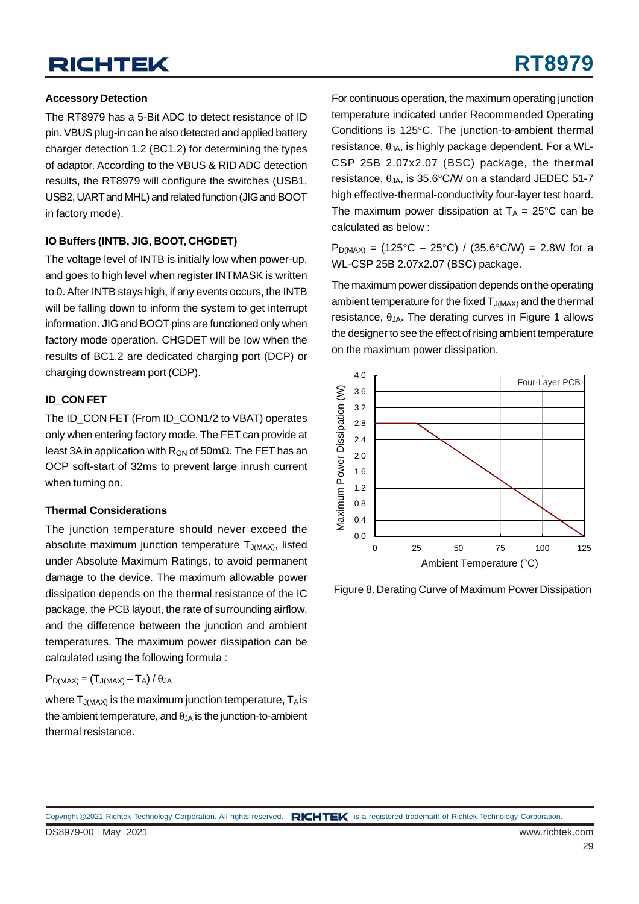## **RICHTEK**

#### **Accessory Detection**

The RT8979 has a 5-Bit ADC to detect resistance of ID pin. VBUS plug-in can be also detected and applied battery charger detection 1.2 (BC1.2) for determining the types of adaptor. According to the VBUS & RID ADC detection results, the RT8979 will configure the switches (USB1, USB2, UART and MHL) and related function (JIG and BOOT in factory mode).

#### **IO Buffers (INTB, JIG, BOOT, CHGDET)**

The voltage level of INTB is initially low when power-up, and goes to high level when register INTMASK is written to 0. After INTB stays high, if any events occurs, the INTB will be falling down to inform the system to get interrupt information. JIG and BOOT pins are functioned only when factory mode operation. CHGDET will be low when the results of BC1.2 are dedicated charging port (DCP) or charging downstream port (CDP).

#### **ID\_CON FET**

The ID\_CON FET (From ID\_CON1/2 to VBAT) operates only when entering factory mode. The FET can provide at least 3A in application with R<sub>ON</sub> of 50m $Ω$ . The FET has an OCP soft-start of 32ms to prevent large inrush current when turning on.

#### **Thermal Considerations**

The junction temperature should never exceed the absolute maximum junction temperature  $T_{J(MAX)}$ , listed under Absolute Maximum Ratings, to avoid permanent damage to the device. The maximum allowable power dissipation depends on the thermal resistance of the IC package, the PCB layout, the rate of surrounding airflow, and the difference between the junction and ambient temperatures. The maximum power dissipation can be calculated using the following formula :

$$
P_{D(MAX)}=\left(T_{J(MAX)}-T_A\right)/\,\theta_{JA}
$$

where  $T_{J(MAX)}$  is the maximum junction temperature,  $T_A$  is the ambient temperature, and  $\theta_{JA}$  is the junction-to-ambient thermal resistance.

For continuous operation, the maximum operating junction temperature indicated under Recommended Operating Conditions is 125°C. The junction-to-ambient thermal resistance,  $\theta_{JA}$ , is highly package dependent. For a WL-CSP 25B 2.07x2.07 (BSC) package, the thermal resistance,  $\theta_{JA}$ , is 35.6°C/W on a standard JEDEC 51-7 high effective-thermal-conductivity four-layer test board. The maximum power dissipation at  $T_A = 25^{\circ}$ C can be calculated as below :

 $P_{D(MAX)} = (125^{\circ}C - 25^{\circ}C) / (35.6^{\circ}C/W) = 2.8W$  for a WL-CSP 25B 2.07x2.07 (BSC) package.

The maximum power dissipation depends on the operating ambient temperature for the fixed  $T_{J(MAX)}$  and the thermal resistance,  $θ_{JA}$ . The derating curves in Figure 1 allows the designer to see the effect of rising ambient temperature on the maximum power dissipation.



Figure 8. Derating Curve of Maximum Power Dissipation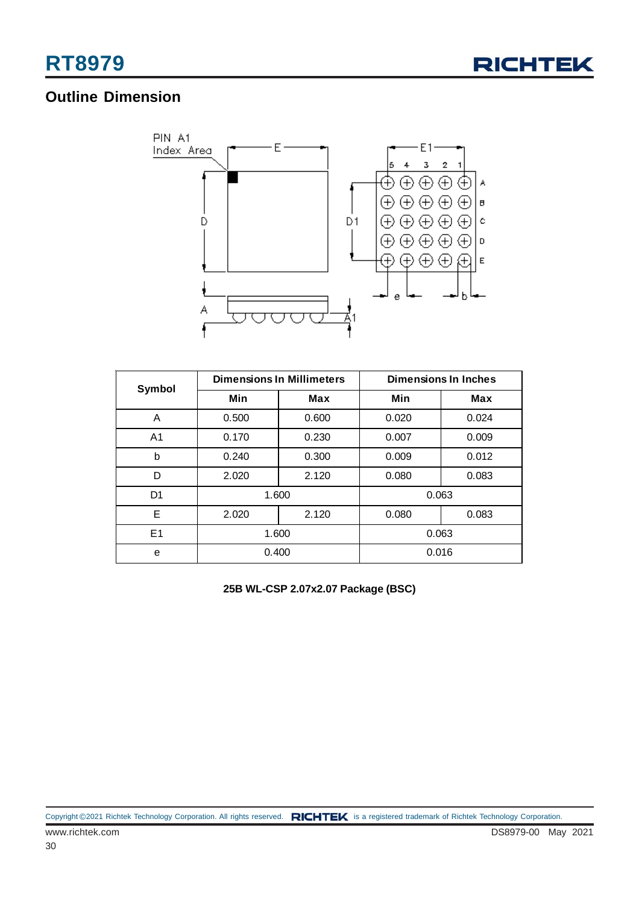

### **Outline Dimension**



| Symbol         |       | <b>Dimensions In Millimeters</b> | <b>Dimensions In Inches</b> |       |  |  |
|----------------|-------|----------------------------------|-----------------------------|-------|--|--|
|                | Min   | Max                              | Min                         | Max   |  |  |
| A              | 0.500 | 0.600                            | 0.020                       | 0.024 |  |  |
| A <sub>1</sub> | 0.170 | 0.230                            | 0.007                       | 0.009 |  |  |
| b              | 0.240 | 0.300                            | 0.009                       | 0.012 |  |  |
| D              | 2.020 | 2.120                            | 0.080                       | 0.083 |  |  |
| D <sub>1</sub> | 1.600 |                                  | 0.063                       |       |  |  |
| E              | 2.020 | 2.120                            | 0.080                       | 0.083 |  |  |
| E1             |       | 1.600                            |                             | 0.063 |  |  |
| e              | 0.400 |                                  | 0.016                       |       |  |  |

**25B WL-CSP 2.07x2.07 Package (BSC)**